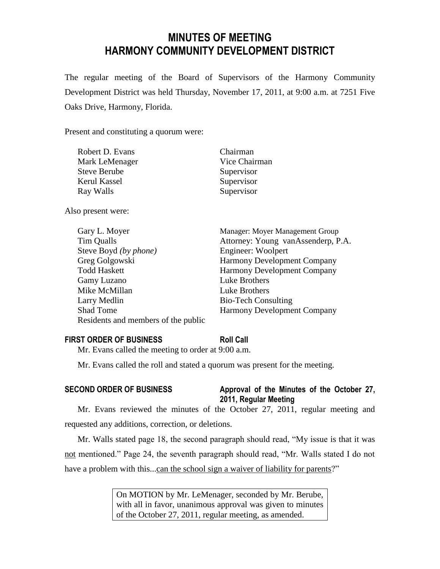# **MINUTES OF MEETING HARMONY COMMUNITY DEVELOPMENT DISTRICT**

The regular meeting of the Board of Supervisors of the Harmony Community Development District was held Thursday, November 17, 2011, at 9:00 a.m. at 7251 Five Oaks Drive, Harmony, Florida.

Present and constituting a quorum were:

| Robert D. Evans | Chairman      |
|-----------------|---------------|
| Mark LeMenager  | Vice Chairman |
| Steve Berube    | Supervisor    |
| Kerul Kassel    | Supervisor    |
| Ray Walls       | Supervisor    |
|                 |               |

Also present were:

| Gary L. Moyer                       | Manager: Moyer Management Group    |
|-------------------------------------|------------------------------------|
| Tim Qualls                          | Attorney: Young vanAssenderp, P.A. |
| Steve Boyd (by phone)               | Engineer: Woolpert                 |
| Greg Golgowski                      | <b>Harmony Development Company</b> |
| <b>Todd Haskett</b>                 | <b>Harmony Development Company</b> |
| Gamy Luzano                         | Luke Brothers                      |
| Mike McMillan                       | Luke Brothers                      |
| Larry Medlin                        | <b>Bio-Tech Consulting</b>         |
| <b>Shad Tome</b>                    | Harmony Development Company        |
| Residents and members of the public |                                    |

# **FIRST ORDER OF BUSINESS Roll Call**

Mr. Evans called the meeting to order at 9:00 a.m.

Mr. Evans called the roll and stated a quorum was present for the meeting.

# **SECOND ORDER OF BUSINESS Approval of the Minutes of the October 27, 2011, Regular Meeting**

Mr. Evans reviewed the minutes of the October 27, 2011, regular meeting and requested any additions, correction, or deletions.

Mr. Walls stated page 18, the second paragraph should read, "My issue is that it was not mentioned." Page 24, the seventh paragraph should read, "Mr. Walls stated I do not have a problem with this...can the school sign a waiver of liability for parents?"

> On MOTION by Mr. LeMenager, seconded by Mr. Berube, with all in favor, unanimous approval was given to minutes of the October 27, 2011, regular meeting, as amended.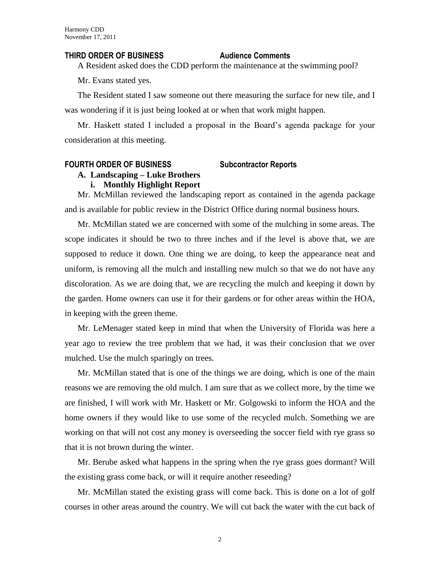#### **THIRD ORDER OF BUSINESS Audience Comments**

A Resident asked does the CDD perform the maintenance at the swimming pool?

Mr. Evans stated yes.

The Resident stated I saw someone out there measuring the surface for new tile, and I was wondering if it is just being looked at or when that work might happen.

Mr. Haskett stated I included a proposal in the Board's agenda package for your consideration at this meeting.

### **FOURTH ORDER OF BUSINESS Subcontractor Reports**

# **A. Landscaping – Luke Brothers**

# **i. Monthly Highlight Report**

Mr. McMillan reviewed the landscaping report as contained in the agenda package and is available for public review in the District Office during normal business hours.

Mr. McMillan stated we are concerned with some of the mulching in some areas. The scope indicates it should be two to three inches and if the level is above that, we are supposed to reduce it down. One thing we are doing, to keep the appearance neat and uniform, is removing all the mulch and installing new mulch so that we do not have any discoloration. As we are doing that, we are recycling the mulch and keeping it down by the garden. Home owners can use it for their gardens or for other areas within the HOA, in keeping with the green theme.

Mr. LeMenager stated keep in mind that when the University of Florida was here a year ago to review the tree problem that we had, it was their conclusion that we over mulched. Use the mulch sparingly on trees.

Mr. McMillan stated that is one of the things we are doing, which is one of the main reasons we are removing the old mulch. I am sure that as we collect more, by the time we are finished, I will work with Mr. Haskett or Mr. Golgowski to inform the HOA and the home owners if they would like to use some of the recycled mulch. Something we are working on that will not cost any money is overseeding the soccer field with rye grass so that it is not brown during the winter.

Mr. Berube asked what happens in the spring when the rye grass goes dormant? Will the existing grass come back, or will it require another reseeding?

Mr. McMillan stated the existing grass will come back. This is done on a lot of golf courses in other areas around the country. We will cut back the water with the cut back of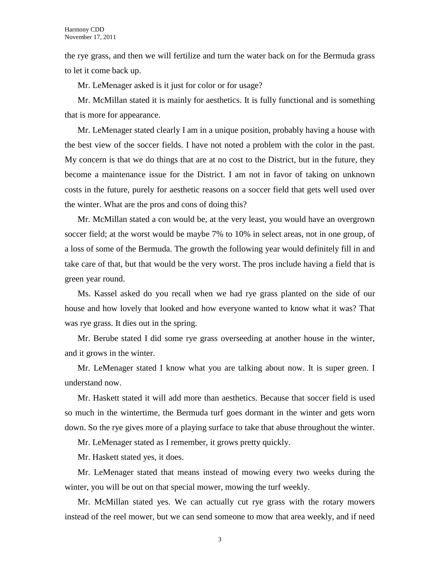the rye grass, and then we will fertilize and turn the water back on for the Bermuda grass to let it come back up.

Mr. LeMenager asked is it just for color or for usage?

Mr. McMillan stated it is mainly for aesthetics. It is fully functional and is something that is more for appearance.

Mr. LeMenager stated clearly I am in a unique position, probably having a house with the best view of the soccer fields. I have not noted a problem with the color in the past. My concern is that we do things that are at no cost to the District, but in the future, they become a maintenance issue for the District. I am not in favor of taking on unknown costs in the future, purely for aesthetic reasons on a soccer field that gets well used over the winter. What are the pros and cons of doing this?

Mr. McMillan stated a con would be, at the very least, you would have an overgrown soccer field; at the worst would be maybe 7% to 10% in select areas, not in one group, of a loss of some of the Bermuda. The growth the following year would definitely fill in and take care of that, but that would be the very worst. The pros include having a field that is green year round.

Ms. Kassel asked do you recall when we had rye grass planted on the side of our house and how lovely that looked and how everyone wanted to know what it was? That was rye grass. It dies out in the spring.

Mr. Berube stated I did some rye grass overseeding at another house in the winter, and it grows in the winter.

Mr. LeMenager stated I know what you are talking about now. It is super green. I understand now.

Mr. Haskett stated it will add more than aesthetics. Because that soccer field is used so much in the wintertime, the Bermuda turf goes dormant in the winter and gets worn down. So the rye gives more of a playing surface to take that abuse throughout the winter.

Mr. LeMenager stated as I remember, it grows pretty quickly.

Mr. Haskett stated yes, it does.

Mr. LeMenager stated that means instead of mowing every two weeks during the winter, you will be out on that special mower, mowing the turf weekly.

Mr. McMillan stated yes. We can actually cut rye grass with the rotary mowers instead of the reel mower, but we can send someone to mow that area weekly, and if need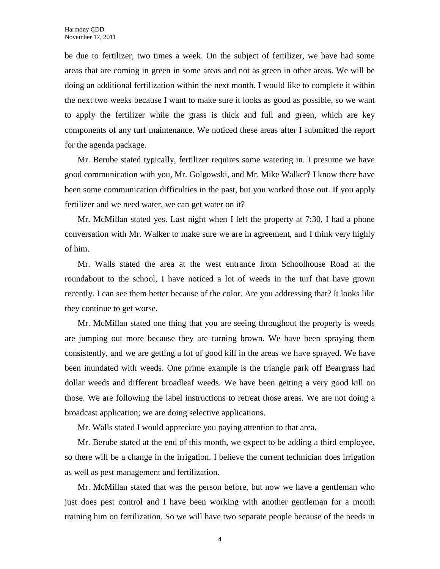be due to fertilizer, two times a week. On the subject of fertilizer, we have had some areas that are coming in green in some areas and not as green in other areas. We will be doing an additional fertilization within the next month. I would like to complete it within the next two weeks because I want to make sure it looks as good as possible, so we want to apply the fertilizer while the grass is thick and full and green, which are key components of any turf maintenance. We noticed these areas after I submitted the report for the agenda package.

Mr. Berube stated typically, fertilizer requires some watering in. I presume we have good communication with you, Mr. Golgowski, and Mr. Mike Walker? I know there have been some communication difficulties in the past, but you worked those out. If you apply fertilizer and we need water, we can get water on it?

Mr. McMillan stated yes. Last night when I left the property at 7:30, I had a phone conversation with Mr. Walker to make sure we are in agreement, and I think very highly of him.

Mr. Walls stated the area at the west entrance from Schoolhouse Road at the roundabout to the school, I have noticed a lot of weeds in the turf that have grown recently. I can see them better because of the color. Are you addressing that? It looks like they continue to get worse.

Mr. McMillan stated one thing that you are seeing throughout the property is weeds are jumping out more because they are turning brown. We have been spraying them consistently, and we are getting a lot of good kill in the areas we have sprayed. We have been inundated with weeds. One prime example is the triangle park off Beargrass had dollar weeds and different broadleaf weeds. We have been getting a very good kill on those. We are following the label instructions to retreat those areas. We are not doing a broadcast application; we are doing selective applications.

Mr. Walls stated I would appreciate you paying attention to that area.

Mr. Berube stated at the end of this month, we expect to be adding a third employee, so there will be a change in the irrigation. I believe the current technician does irrigation as well as pest management and fertilization.

Mr. McMillan stated that was the person before, but now we have a gentleman who just does pest control and I have been working with another gentleman for a month training him on fertilization. So we will have two separate people because of the needs in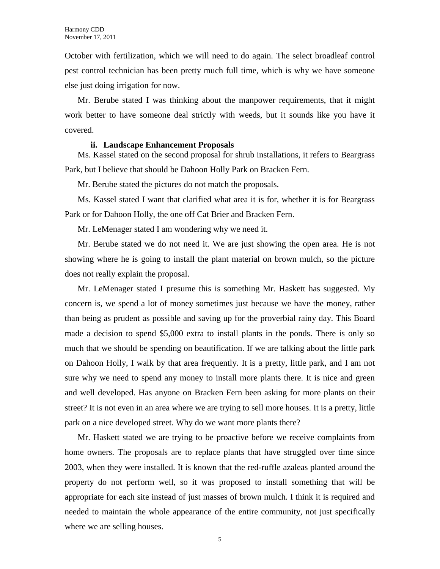October with fertilization, which we will need to do again. The select broadleaf control pest control technician has been pretty much full time, which is why we have someone else just doing irrigation for now.

Mr. Berube stated I was thinking about the manpower requirements, that it might work better to have someone deal strictly with weeds, but it sounds like you have it covered.

#### **ii. Landscape Enhancement Proposals**

Ms. Kassel stated on the second proposal for shrub installations, it refers to Beargrass Park, but I believe that should be Dahoon Holly Park on Bracken Fern.

Mr. Berube stated the pictures do not match the proposals.

Ms. Kassel stated I want that clarified what area it is for, whether it is for Beargrass Park or for Dahoon Holly, the one off Cat Brier and Bracken Fern.

Mr. LeMenager stated I am wondering why we need it.

Mr. Berube stated we do not need it. We are just showing the open area. He is not showing where he is going to install the plant material on brown mulch, so the picture does not really explain the proposal.

Mr. LeMenager stated I presume this is something Mr. Haskett has suggested. My concern is, we spend a lot of money sometimes just because we have the money, rather than being as prudent as possible and saving up for the proverbial rainy day. This Board made a decision to spend \$5,000 extra to install plants in the ponds. There is only so much that we should be spending on beautification. If we are talking about the little park on Dahoon Holly, I walk by that area frequently. It is a pretty, little park, and I am not sure why we need to spend any money to install more plants there. It is nice and green and well developed. Has anyone on Bracken Fern been asking for more plants on their street? It is not even in an area where we are trying to sell more houses. It is a pretty, little park on a nice developed street. Why do we want more plants there?

Mr. Haskett stated we are trying to be proactive before we receive complaints from home owners. The proposals are to replace plants that have struggled over time since 2003, when they were installed. It is known that the red-ruffle azaleas planted around the property do not perform well, so it was proposed to install something that will be appropriate for each site instead of just masses of brown mulch. I think it is required and needed to maintain the whole appearance of the entire community, not just specifically where we are selling houses.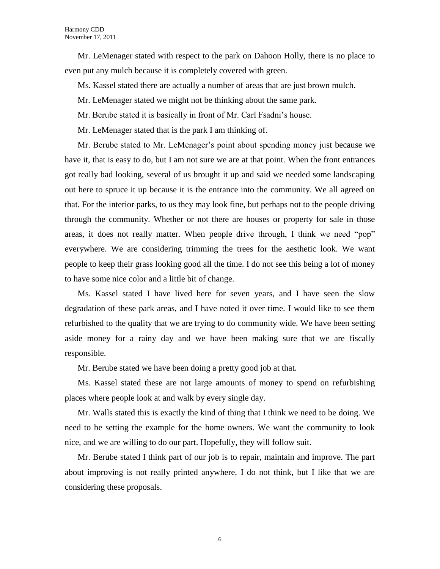Mr. LeMenager stated with respect to the park on Dahoon Holly, there is no place to even put any mulch because it is completely covered with green.

Ms. Kassel stated there are actually a number of areas that are just brown mulch.

Mr. LeMenager stated we might not be thinking about the same park.

Mr. Berube stated it is basically in front of Mr. Carl Fsadni's house.

Mr. LeMenager stated that is the park I am thinking of.

Mr. Berube stated to Mr. LeMenager's point about spending money just because we have it, that is easy to do, but I am not sure we are at that point. When the front entrances got really bad looking, several of us brought it up and said we needed some landscaping out here to spruce it up because it is the entrance into the community. We all agreed on that. For the interior parks, to us they may look fine, but perhaps not to the people driving through the community. Whether or not there are houses or property for sale in those areas, it does not really matter. When people drive through, I think we need "pop" everywhere. We are considering trimming the trees for the aesthetic look. We want people to keep their grass looking good all the time. I do not see this being a lot of money to have some nice color and a little bit of change.

Ms. Kassel stated I have lived here for seven years, and I have seen the slow degradation of these park areas, and I have noted it over time. I would like to see them refurbished to the quality that we are trying to do community wide. We have been setting aside money for a rainy day and we have been making sure that we are fiscally responsible.

Mr. Berube stated we have been doing a pretty good job at that.

Ms. Kassel stated these are not large amounts of money to spend on refurbishing places where people look at and walk by every single day.

Mr. Walls stated this is exactly the kind of thing that I think we need to be doing. We need to be setting the example for the home owners. We want the community to look nice, and we are willing to do our part. Hopefully, they will follow suit.

Mr. Berube stated I think part of our job is to repair, maintain and improve. The part about improving is not really printed anywhere, I do not think, but I like that we are considering these proposals.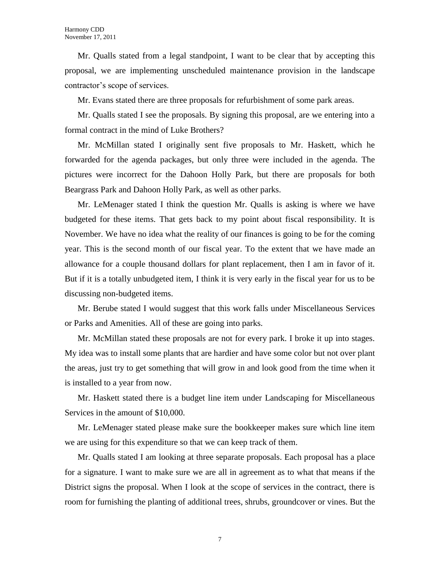Mr. Qualls stated from a legal standpoint, I want to be clear that by accepting this proposal, we are implementing unscheduled maintenance provision in the landscape contractor's scope of services.

Mr. Evans stated there are three proposals for refurbishment of some park areas.

Mr. Qualls stated I see the proposals. By signing this proposal, are we entering into a formal contract in the mind of Luke Brothers?

Mr. McMillan stated I originally sent five proposals to Mr. Haskett, which he forwarded for the agenda packages, but only three were included in the agenda. The pictures were incorrect for the Dahoon Holly Park, but there are proposals for both Beargrass Park and Dahoon Holly Park, as well as other parks.

Mr. LeMenager stated I think the question Mr. Qualls is asking is where we have budgeted for these items. That gets back to my point about fiscal responsibility. It is November. We have no idea what the reality of our finances is going to be for the coming year. This is the second month of our fiscal year. To the extent that we have made an allowance for a couple thousand dollars for plant replacement, then I am in favor of it. But if it is a totally unbudgeted item, I think it is very early in the fiscal year for us to be discussing non-budgeted items.

Mr. Berube stated I would suggest that this work falls under Miscellaneous Services or Parks and Amenities. All of these are going into parks.

Mr. McMillan stated these proposals are not for every park. I broke it up into stages. My idea was to install some plants that are hardier and have some color but not over plant the areas, just try to get something that will grow in and look good from the time when it is installed to a year from now.

Mr. Haskett stated there is a budget line item under Landscaping for Miscellaneous Services in the amount of \$10,000.

Mr. LeMenager stated please make sure the bookkeeper makes sure which line item we are using for this expenditure so that we can keep track of them.

Mr. Qualls stated I am looking at three separate proposals. Each proposal has a place for a signature. I want to make sure we are all in agreement as to what that means if the District signs the proposal. When I look at the scope of services in the contract, there is room for furnishing the planting of additional trees, shrubs, groundcover or vines. But the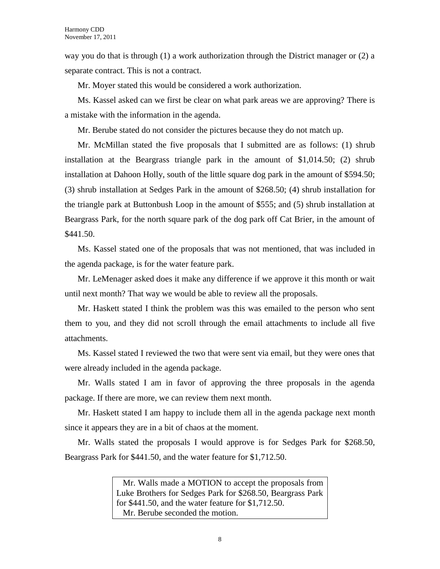way you do that is through  $(1)$  a work authorization through the District manager or  $(2)$  a separate contract. This is not a contract.

Mr. Moyer stated this would be considered a work authorization.

Ms. Kassel asked can we first be clear on what park areas we are approving? There is a mistake with the information in the agenda.

Mr. Berube stated do not consider the pictures because they do not match up.

Mr. McMillan stated the five proposals that I submitted are as follows: (1) shrub installation at the Beargrass triangle park in the amount of \$1,014.50; (2) shrub installation at Dahoon Holly, south of the little square dog park in the amount of \$594.50; (3) shrub installation at Sedges Park in the amount of \$268.50; (4) shrub installation for the triangle park at Buttonbush Loop in the amount of \$555; and (5) shrub installation at Beargrass Park, for the north square park of the dog park off Cat Brier, in the amount of \$441.50.

Ms. Kassel stated one of the proposals that was not mentioned, that was included in the agenda package, is for the water feature park.

Mr. LeMenager asked does it make any difference if we approve it this month or wait until next month? That way we would be able to review all the proposals.

Mr. Haskett stated I think the problem was this was emailed to the person who sent them to you, and they did not scroll through the email attachments to include all five attachments.

Ms. Kassel stated I reviewed the two that were sent via email, but they were ones that were already included in the agenda package.

Mr. Walls stated I am in favor of approving the three proposals in the agenda package. If there are more, we can review them next month.

Mr. Haskett stated I am happy to include them all in the agenda package next month since it appears they are in a bit of chaos at the moment.

Mr. Walls stated the proposals I would approve is for Sedges Park for \$268.50, Beargrass Park for \$441.50, and the water feature for \$1,712.50.

> Mr. Walls made a MOTION to accept the proposals from Luke Brothers for Sedges Park for \$268.50, Beargrass Park for \$441.50, and the water feature for \$1,712.50. Mr. Berube seconded the motion.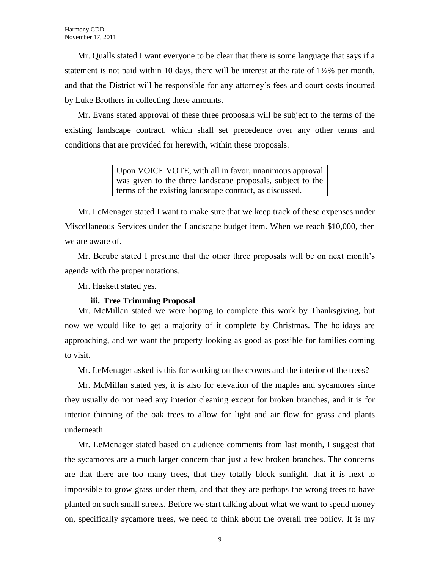Mr. Qualls stated I want everyone to be clear that there is some language that says if a statement is not paid within 10 days, there will be interest at the rate of 1½% per month, and that the District will be responsible for any attorney's fees and court costs incurred by Luke Brothers in collecting these amounts.

Mr. Evans stated approval of these three proposals will be subject to the terms of the existing landscape contract, which shall set precedence over any other terms and conditions that are provided for herewith, within these proposals.

> Upon VOICE VOTE, with all in favor, unanimous approval was given to the three landscape proposals, subject to the terms of the existing landscape contract, as discussed.

Mr. LeMenager stated I want to make sure that we keep track of these expenses under Miscellaneous Services under the Landscape budget item. When we reach \$10,000, then we are aware of.

Mr. Berube stated I presume that the other three proposals will be on next month's agenda with the proper notations.

Mr. Haskett stated yes.

### **iii. Tree Trimming Proposal**

Mr. McMillan stated we were hoping to complete this work by Thanksgiving, but now we would like to get a majority of it complete by Christmas. The holidays are approaching, and we want the property looking as good as possible for families coming to visit.

Mr. LeMenager asked is this for working on the crowns and the interior of the trees?

Mr. McMillan stated yes, it is also for elevation of the maples and sycamores since they usually do not need any interior cleaning except for broken branches, and it is for interior thinning of the oak trees to allow for light and air flow for grass and plants underneath.

Mr. LeMenager stated based on audience comments from last month, I suggest that the sycamores are a much larger concern than just a few broken branches. The concerns are that there are too many trees, that they totally block sunlight, that it is next to impossible to grow grass under them, and that they are perhaps the wrong trees to have planted on such small streets. Before we start talking about what we want to spend money on, specifically sycamore trees, we need to think about the overall tree policy. It is my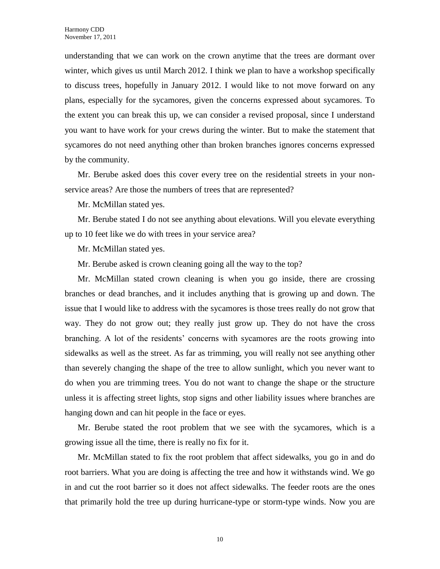understanding that we can work on the crown anytime that the trees are dormant over winter, which gives us until March 2012. I think we plan to have a workshop specifically to discuss trees, hopefully in January 2012. I would like to not move forward on any plans, especially for the sycamores, given the concerns expressed about sycamores. To the extent you can break this up, we can consider a revised proposal, since I understand you want to have work for your crews during the winter. But to make the statement that sycamores do not need anything other than broken branches ignores concerns expressed by the community.

Mr. Berube asked does this cover every tree on the residential streets in your nonservice areas? Are those the numbers of trees that are represented?

Mr. McMillan stated yes.

Mr. Berube stated I do not see anything about elevations. Will you elevate everything up to 10 feet like we do with trees in your service area?

Mr. McMillan stated yes.

Mr. Berube asked is crown cleaning going all the way to the top?

Mr. McMillan stated crown cleaning is when you go inside, there are crossing branches or dead branches, and it includes anything that is growing up and down. The issue that I would like to address with the sycamores is those trees really do not grow that way. They do not grow out; they really just grow up. They do not have the cross branching. A lot of the residents' concerns with sycamores are the roots growing into sidewalks as well as the street. As far as trimming, you will really not see anything other than severely changing the shape of the tree to allow sunlight, which you never want to do when you are trimming trees. You do not want to change the shape or the structure unless it is affecting street lights, stop signs and other liability issues where branches are hanging down and can hit people in the face or eyes.

Mr. Berube stated the root problem that we see with the sycamores, which is a growing issue all the time, there is really no fix for it.

Mr. McMillan stated to fix the root problem that affect sidewalks, you go in and do root barriers. What you are doing is affecting the tree and how it withstands wind. We go in and cut the root barrier so it does not affect sidewalks. The feeder roots are the ones that primarily hold the tree up during hurricane-type or storm-type winds. Now you are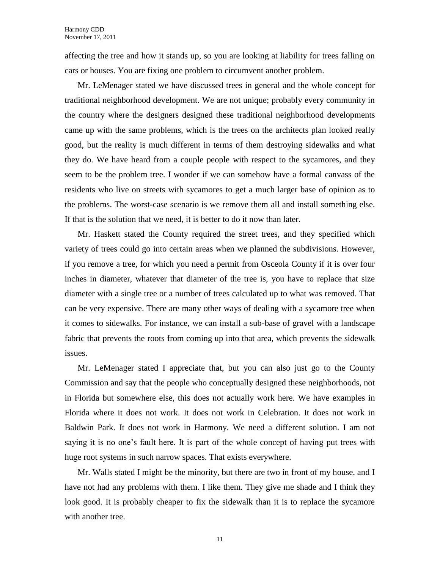affecting the tree and how it stands up, so you are looking at liability for trees falling on cars or houses. You are fixing one problem to circumvent another problem.

Mr. LeMenager stated we have discussed trees in general and the whole concept for traditional neighborhood development. We are not unique; probably every community in the country where the designers designed these traditional neighborhood developments came up with the same problems, which is the trees on the architects plan looked really good, but the reality is much different in terms of them destroying sidewalks and what they do. We have heard from a couple people with respect to the sycamores, and they seem to be the problem tree. I wonder if we can somehow have a formal canvass of the residents who live on streets with sycamores to get a much larger base of opinion as to the problems. The worst-case scenario is we remove them all and install something else. If that is the solution that we need, it is better to do it now than later.

Mr. Haskett stated the County required the street trees, and they specified which variety of trees could go into certain areas when we planned the subdivisions. However, if you remove a tree, for which you need a permit from Osceola County if it is over four inches in diameter, whatever that diameter of the tree is, you have to replace that size diameter with a single tree or a number of trees calculated up to what was removed. That can be very expensive. There are many other ways of dealing with a sycamore tree when it comes to sidewalks. For instance, we can install a sub-base of gravel with a landscape fabric that prevents the roots from coming up into that area, which prevents the sidewalk issues.

Mr. LeMenager stated I appreciate that, but you can also just go to the County Commission and say that the people who conceptually designed these neighborhoods, not in Florida but somewhere else, this does not actually work here. We have examples in Florida where it does not work. It does not work in Celebration. It does not work in Baldwin Park. It does not work in Harmony. We need a different solution. I am not saying it is no one's fault here. It is part of the whole concept of having put trees with huge root systems in such narrow spaces. That exists everywhere.

Mr. Walls stated I might be the minority, but there are two in front of my house, and I have not had any problems with them. I like them. They give me shade and I think they look good. It is probably cheaper to fix the sidewalk than it is to replace the sycamore with another tree.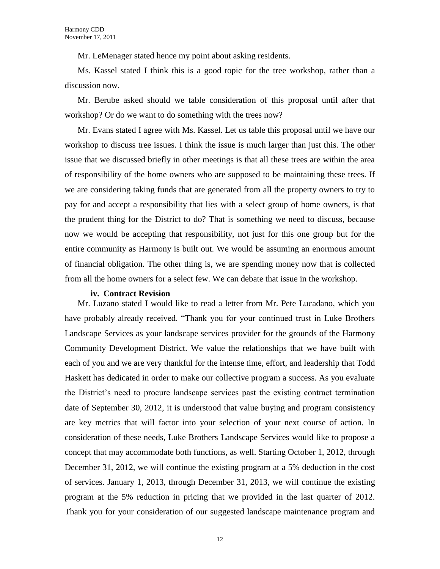Mr. LeMenager stated hence my point about asking residents.

Ms. Kassel stated I think this is a good topic for the tree workshop, rather than a discussion now.

Mr. Berube asked should we table consideration of this proposal until after that workshop? Or do we want to do something with the trees now?

Mr. Evans stated I agree with Ms. Kassel. Let us table this proposal until we have our workshop to discuss tree issues. I think the issue is much larger than just this. The other issue that we discussed briefly in other meetings is that all these trees are within the area of responsibility of the home owners who are supposed to be maintaining these trees. If we are considering taking funds that are generated from all the property owners to try to pay for and accept a responsibility that lies with a select group of home owners, is that the prudent thing for the District to do? That is something we need to discuss, because now we would be accepting that responsibility, not just for this one group but for the entire community as Harmony is built out. We would be assuming an enormous amount of financial obligation. The other thing is, we are spending money now that is collected from all the home owners for a select few. We can debate that issue in the workshop.

#### **iv. Contract Revision**

Mr. Luzano stated I would like to read a letter from Mr. Pete Lucadano, which you have probably already received. "Thank you for your continued trust in Luke Brothers Landscape Services as your landscape services provider for the grounds of the Harmony Community Development District. We value the relationships that we have built with each of you and we are very thankful for the intense time, effort, and leadership that Todd Haskett has dedicated in order to make our collective program a success. As you evaluate the District's need to procure landscape services past the existing contract termination date of September 30, 2012, it is understood that value buying and program consistency are key metrics that will factor into your selection of your next course of action. In consideration of these needs, Luke Brothers Landscape Services would like to propose a concept that may accommodate both functions, as well. Starting October 1, 2012, through December 31, 2012, we will continue the existing program at a 5% deduction in the cost of services. January 1, 2013, through December 31, 2013, we will continue the existing program at the 5% reduction in pricing that we provided in the last quarter of 2012. Thank you for your consideration of our suggested landscape maintenance program and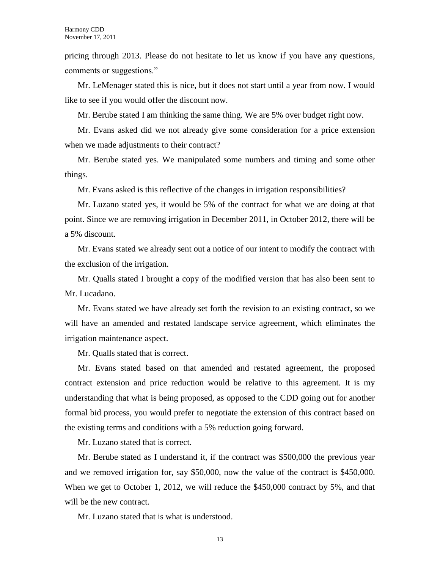pricing through 2013. Please do not hesitate to let us know if you have any questions, comments or suggestions."

Mr. LeMenager stated this is nice, but it does not start until a year from now. I would like to see if you would offer the discount now.

Mr. Berube stated I am thinking the same thing. We are 5% over budget right now.

Mr. Evans asked did we not already give some consideration for a price extension when we made adjustments to their contract?

Mr. Berube stated yes. We manipulated some numbers and timing and some other things.

Mr. Evans asked is this reflective of the changes in irrigation responsibilities?

Mr. Luzano stated yes, it would be 5% of the contract for what we are doing at that point. Since we are removing irrigation in December 2011, in October 2012, there will be a 5% discount.

Mr. Evans stated we already sent out a notice of our intent to modify the contract with the exclusion of the irrigation.

Mr. Qualls stated I brought a copy of the modified version that has also been sent to Mr. Lucadano.

Mr. Evans stated we have already set forth the revision to an existing contract, so we will have an amended and restated landscape service agreement, which eliminates the irrigation maintenance aspect.

Mr. Qualls stated that is correct.

Mr. Evans stated based on that amended and restated agreement, the proposed contract extension and price reduction would be relative to this agreement. It is my understanding that what is being proposed, as opposed to the CDD going out for another formal bid process, you would prefer to negotiate the extension of this contract based on the existing terms and conditions with a 5% reduction going forward.

Mr. Luzano stated that is correct.

Mr. Berube stated as I understand it, if the contract was \$500,000 the previous year and we removed irrigation for, say \$50,000, now the value of the contract is \$450,000. When we get to October 1, 2012, we will reduce the \$450,000 contract by 5%, and that will be the new contract.

Mr. Luzano stated that is what is understood.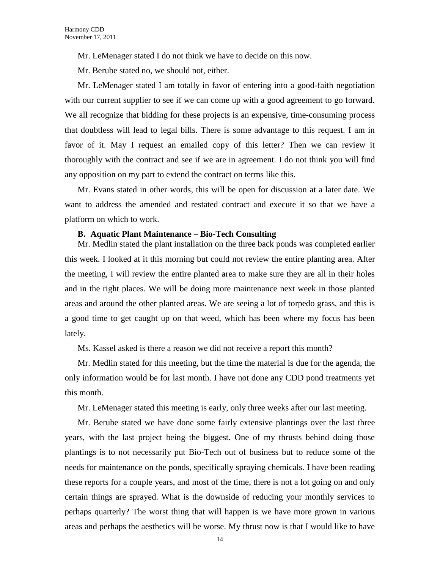Mr. LeMenager stated I do not think we have to decide on this now.

Mr. Berube stated no, we should not, either.

Mr. LeMenager stated I am totally in favor of entering into a good-faith negotiation with our current supplier to see if we can come up with a good agreement to go forward. We all recognize that bidding for these projects is an expensive, time-consuming process that doubtless will lead to legal bills. There is some advantage to this request. I am in favor of it. May I request an emailed copy of this letter? Then we can review it thoroughly with the contract and see if we are in agreement. I do not think you will find any opposition on my part to extend the contract on terms like this.

Mr. Evans stated in other words, this will be open for discussion at a later date. We want to address the amended and restated contract and execute it so that we have a platform on which to work.

#### **B. Aquatic Plant Maintenance – Bio-Tech Consulting**

Mr. Medlin stated the plant installation on the three back ponds was completed earlier this week. I looked at it this morning but could not review the entire planting area. After the meeting, I will review the entire planted area to make sure they are all in their holes and in the right places. We will be doing more maintenance next week in those planted areas and around the other planted areas. We are seeing a lot of torpedo grass, and this is a good time to get caught up on that weed, which has been where my focus has been lately.

Ms. Kassel asked is there a reason we did not receive a report this month?

Mr. Medlin stated for this meeting, but the time the material is due for the agenda, the only information would be for last month. I have not done any CDD pond treatments yet this month.

Mr. LeMenager stated this meeting is early, only three weeks after our last meeting.

Mr. Berube stated we have done some fairly extensive plantings over the last three years, with the last project being the biggest. One of my thrusts behind doing those plantings is to not necessarily put Bio-Tech out of business but to reduce some of the needs for maintenance on the ponds, specifically spraying chemicals. I have been reading these reports for a couple years, and most of the time, there is not a lot going on and only certain things are sprayed. What is the downside of reducing your monthly services to perhaps quarterly? The worst thing that will happen is we have more grown in various areas and perhaps the aesthetics will be worse. My thrust now is that I would like to have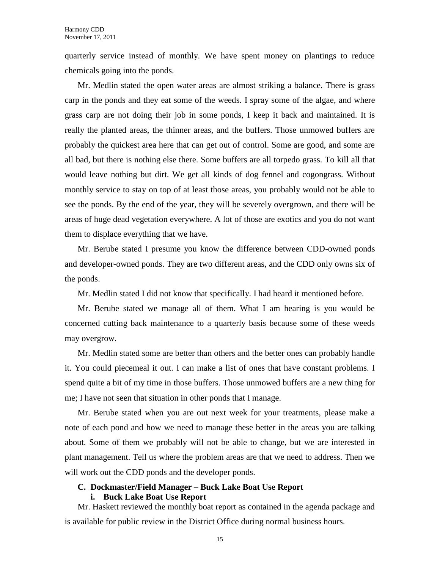quarterly service instead of monthly. We have spent money on plantings to reduce chemicals going into the ponds.

Mr. Medlin stated the open water areas are almost striking a balance. There is grass carp in the ponds and they eat some of the weeds. I spray some of the algae, and where grass carp are not doing their job in some ponds, I keep it back and maintained. It is really the planted areas, the thinner areas, and the buffers. Those unmowed buffers are probably the quickest area here that can get out of control. Some are good, and some are all bad, but there is nothing else there. Some buffers are all torpedo grass. To kill all that would leave nothing but dirt. We get all kinds of dog fennel and cogongrass. Without monthly service to stay on top of at least those areas, you probably would not be able to see the ponds. By the end of the year, they will be severely overgrown, and there will be areas of huge dead vegetation everywhere. A lot of those are exotics and you do not want them to displace everything that we have.

Mr. Berube stated I presume you know the difference between CDD-owned ponds and developer-owned ponds. They are two different areas, and the CDD only owns six of the ponds.

Mr. Medlin stated I did not know that specifically. I had heard it mentioned before.

Mr. Berube stated we manage all of them. What I am hearing is you would be concerned cutting back maintenance to a quarterly basis because some of these weeds may overgrow.

Mr. Medlin stated some are better than others and the better ones can probably handle it. You could piecemeal it out. I can make a list of ones that have constant problems. I spend quite a bit of my time in those buffers. Those unmowed buffers are a new thing for me; I have not seen that situation in other ponds that I manage.

Mr. Berube stated when you are out next week for your treatments, please make a note of each pond and how we need to manage these better in the areas you are talking about. Some of them we probably will not be able to change, but we are interested in plant management. Tell us where the problem areas are that we need to address. Then we will work out the CDD ponds and the developer ponds.

#### **C. Dockmaster/Field Manager – Buck Lake Boat Use Report i. Buck Lake Boat Use Report**

Mr. Haskett reviewed the monthly boat report as contained in the agenda package and is available for public review in the District Office during normal business hours.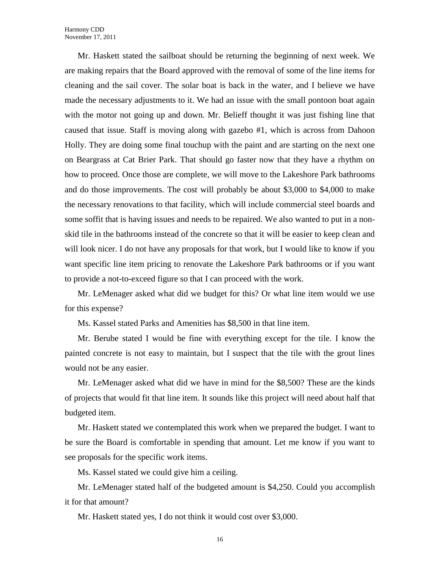Mr. Haskett stated the sailboat should be returning the beginning of next week. We are making repairs that the Board approved with the removal of some of the line items for cleaning and the sail cover. The solar boat is back in the water, and I believe we have made the necessary adjustments to it. We had an issue with the small pontoon boat again with the motor not going up and down. Mr. Belieff thought it was just fishing line that caused that issue. Staff is moving along with gazebo #1, which is across from Dahoon Holly. They are doing some final touchup with the paint and are starting on the next one on Beargrass at Cat Brier Park. That should go faster now that they have a rhythm on how to proceed. Once those are complete, we will move to the Lakeshore Park bathrooms and do those improvements. The cost will probably be about \$3,000 to \$4,000 to make the necessary renovations to that facility, which will include commercial steel boards and some soffit that is having issues and needs to be repaired. We also wanted to put in a nonskid tile in the bathrooms instead of the concrete so that it will be easier to keep clean and will look nicer. I do not have any proposals for that work, but I would like to know if you want specific line item pricing to renovate the Lakeshore Park bathrooms or if you want to provide a not-to-exceed figure so that I can proceed with the work.

Mr. LeMenager asked what did we budget for this? Or what line item would we use for this expense?

Ms. Kassel stated Parks and Amenities has \$8,500 in that line item.

Mr. Berube stated I would be fine with everything except for the tile. I know the painted concrete is not easy to maintain, but I suspect that the tile with the grout lines would not be any easier.

Mr. LeMenager asked what did we have in mind for the \$8,500? These are the kinds of projects that would fit that line item. It sounds like this project will need about half that budgeted item.

Mr. Haskett stated we contemplated this work when we prepared the budget. I want to be sure the Board is comfortable in spending that amount. Let me know if you want to see proposals for the specific work items.

Ms. Kassel stated we could give him a ceiling.

Mr. LeMenager stated half of the budgeted amount is \$4,250. Could you accomplish it for that amount?

Mr. Haskett stated yes, I do not think it would cost over \$3,000.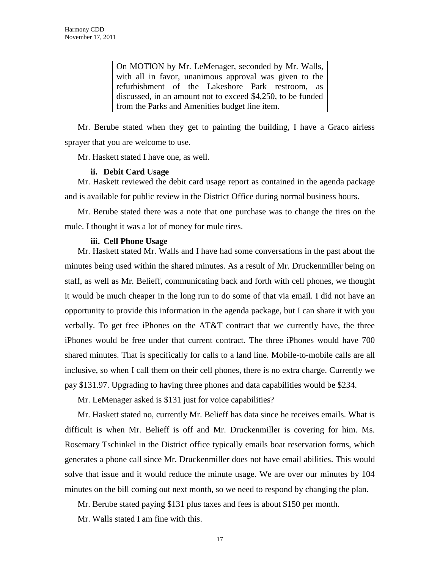On MOTION by Mr. LeMenager, seconded by Mr. Walls, with all in favor, unanimous approval was given to the refurbishment of the Lakeshore Park restroom, as discussed, in an amount not to exceed \$4,250, to be funded from the Parks and Amenities budget line item.

Mr. Berube stated when they get to painting the building, I have a Graco airless sprayer that you are welcome to use.

Mr. Haskett stated I have one, as well.

#### **ii. Debit Card Usage**

Mr. Haskett reviewed the debit card usage report as contained in the agenda package and is available for public review in the District Office during normal business hours.

Mr. Berube stated there was a note that one purchase was to change the tires on the mule. I thought it was a lot of money for mule tires.

#### **iii. Cell Phone Usage**

Mr. Haskett stated Mr. Walls and I have had some conversations in the past about the minutes being used within the shared minutes. As a result of Mr. Druckenmiller being on staff, as well as Mr. Belieff, communicating back and forth with cell phones, we thought it would be much cheaper in the long run to do some of that via email. I did not have an opportunity to provide this information in the agenda package, but I can share it with you verbally. To get free iPhones on the AT&T contract that we currently have, the three iPhones would be free under that current contract. The three iPhones would have 700 shared minutes. That is specifically for calls to a land line. Mobile-to-mobile calls are all inclusive, so when I call them on their cell phones, there is no extra charge. Currently we pay \$131.97. Upgrading to having three phones and data capabilities would be \$234.

Mr. LeMenager asked is \$131 just for voice capabilities?

Mr. Haskett stated no, currently Mr. Belieff has data since he receives emails. What is difficult is when Mr. Belieff is off and Mr. Druckenmiller is covering for him. Ms. Rosemary Tschinkel in the District office typically emails boat reservation forms, which generates a phone call since Mr. Druckenmiller does not have email abilities. This would solve that issue and it would reduce the minute usage. We are over our minutes by 104 minutes on the bill coming out next month, so we need to respond by changing the plan.

Mr. Berube stated paying \$131 plus taxes and fees is about \$150 per month.

Mr. Walls stated I am fine with this.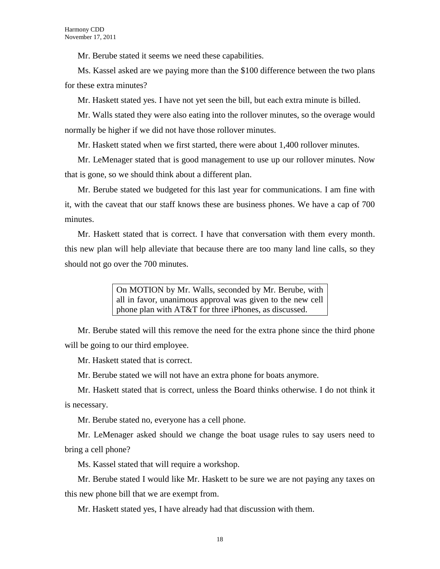Mr. Berube stated it seems we need these capabilities.

Ms. Kassel asked are we paying more than the \$100 difference between the two plans for these extra minutes?

Mr. Haskett stated yes. I have not yet seen the bill, but each extra minute is billed.

Mr. Walls stated they were also eating into the rollover minutes, so the overage would normally be higher if we did not have those rollover minutes.

Mr. Haskett stated when we first started, there were about 1,400 rollover minutes.

Mr. LeMenager stated that is good management to use up our rollover minutes. Now that is gone, so we should think about a different plan.

Mr. Berube stated we budgeted for this last year for communications. I am fine with it, with the caveat that our staff knows these are business phones. We have a cap of 700 minutes.

Mr. Haskett stated that is correct. I have that conversation with them every month. this new plan will help alleviate that because there are too many land line calls, so they should not go over the 700 minutes.

> On MOTION by Mr. Walls, seconded by Mr. Berube, with all in favor, unanimous approval was given to the new cell phone plan with AT&T for three iPhones, as discussed.

Mr. Berube stated will this remove the need for the extra phone since the third phone will be going to our third employee.

Mr. Haskett stated that is correct.

Mr. Berube stated we will not have an extra phone for boats anymore.

Mr. Haskett stated that is correct, unless the Board thinks otherwise. I do not think it is necessary.

Mr. Berube stated no, everyone has a cell phone.

Mr. LeMenager asked should we change the boat usage rules to say users need to bring a cell phone?

Ms. Kassel stated that will require a workshop.

Mr. Berube stated I would like Mr. Haskett to be sure we are not paying any taxes on this new phone bill that we are exempt from.

Mr. Haskett stated yes, I have already had that discussion with them.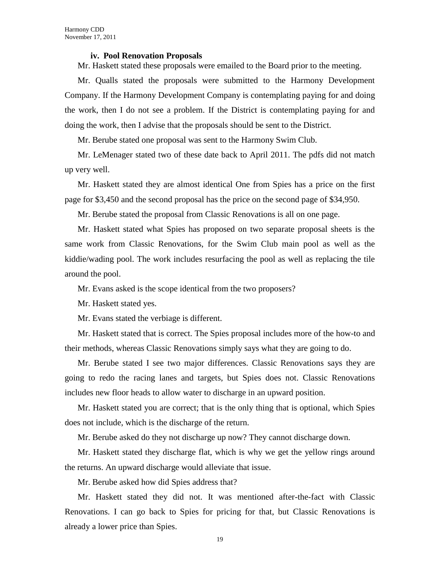#### **iv. Pool Renovation Proposals**

Mr. Haskett stated these proposals were emailed to the Board prior to the meeting.

Mr. Qualls stated the proposals were submitted to the Harmony Development Company. If the Harmony Development Company is contemplating paying for and doing the work, then I do not see a problem. If the District is contemplating paying for and doing the work, then I advise that the proposals should be sent to the District.

Mr. Berube stated one proposal was sent to the Harmony Swim Club.

Mr. LeMenager stated two of these date back to April 2011. The pdfs did not match up very well.

Mr. Haskett stated they are almost identical One from Spies has a price on the first page for \$3,450 and the second proposal has the price on the second page of \$34,950.

Mr. Berube stated the proposal from Classic Renovations is all on one page.

Mr. Haskett stated what Spies has proposed on two separate proposal sheets is the same work from Classic Renovations, for the Swim Club main pool as well as the kiddie/wading pool. The work includes resurfacing the pool as well as replacing the tile around the pool.

Mr. Evans asked is the scope identical from the two proposers?

Mr. Haskett stated yes.

Mr. Evans stated the verbiage is different.

Mr. Haskett stated that is correct. The Spies proposal includes more of the how-to and their methods, whereas Classic Renovations simply says what they are going to do.

Mr. Berube stated I see two major differences. Classic Renovations says they are going to redo the racing lanes and targets, but Spies does not. Classic Renovations includes new floor heads to allow water to discharge in an upward position.

Mr. Haskett stated you are correct; that is the only thing that is optional, which Spies does not include, which is the discharge of the return.

Mr. Berube asked do they not discharge up now? They cannot discharge down.

Mr. Haskett stated they discharge flat, which is why we get the yellow rings around the returns. An upward discharge would alleviate that issue.

Mr. Berube asked how did Spies address that?

Mr. Haskett stated they did not. It was mentioned after-the-fact with Classic Renovations. I can go back to Spies for pricing for that, but Classic Renovations is already a lower price than Spies.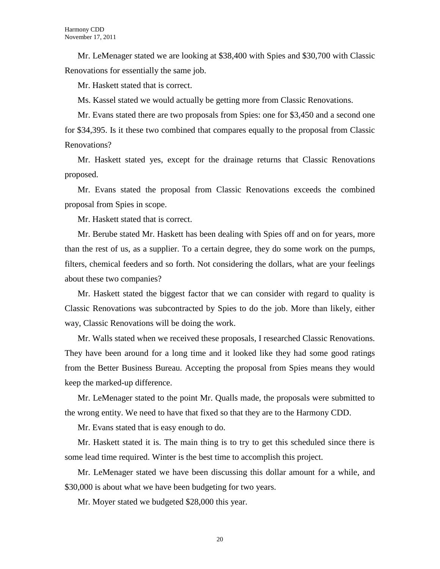Mr. LeMenager stated we are looking at \$38,400 with Spies and \$30,700 with Classic Renovations for essentially the same job.

Mr. Haskett stated that is correct.

Ms. Kassel stated we would actually be getting more from Classic Renovations.

Mr. Evans stated there are two proposals from Spies: one for \$3,450 and a second one for \$34,395. Is it these two combined that compares equally to the proposal from Classic Renovations?

Mr. Haskett stated yes, except for the drainage returns that Classic Renovations proposed.

Mr. Evans stated the proposal from Classic Renovations exceeds the combined proposal from Spies in scope.

Mr. Haskett stated that is correct.

Mr. Berube stated Mr. Haskett has been dealing with Spies off and on for years, more than the rest of us, as a supplier. To a certain degree, they do some work on the pumps, filters, chemical feeders and so forth. Not considering the dollars, what are your feelings about these two companies?

Mr. Haskett stated the biggest factor that we can consider with regard to quality is Classic Renovations was subcontracted by Spies to do the job. More than likely, either way, Classic Renovations will be doing the work.

Mr. Walls stated when we received these proposals, I researched Classic Renovations. They have been around for a long time and it looked like they had some good ratings from the Better Business Bureau. Accepting the proposal from Spies means they would keep the marked-up difference.

Mr. LeMenager stated to the point Mr. Qualls made, the proposals were submitted to the wrong entity. We need to have that fixed so that they are to the Harmony CDD.

Mr. Evans stated that is easy enough to do.

Mr. Haskett stated it is. The main thing is to try to get this scheduled since there is some lead time required. Winter is the best time to accomplish this project.

Mr. LeMenager stated we have been discussing this dollar amount for a while, and \$30,000 is about what we have been budgeting for two years.

Mr. Moyer stated we budgeted \$28,000 this year.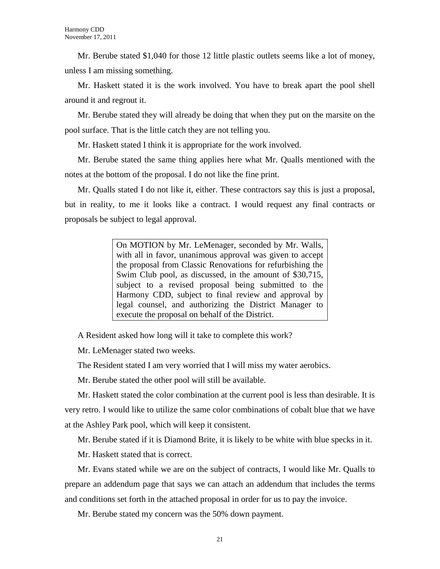Mr. Berube stated \$1,040 for those 12 little plastic outlets seems like a lot of money, unless I am missing something.

Mr. Haskett stated it is the work involved. You have to break apart the pool shell around it and regrout it.

Mr. Berube stated they will already be doing that when they put on the marsite on the pool surface. That is the little catch they are not telling you.

Mr. Haskett stated I think it is appropriate for the work involved.

Mr. Berube stated the same thing applies here what Mr. Qualls mentioned with the notes at the bottom of the proposal. I do not like the fine print.

Mr. Qualls stated I do not like it, either. These contractors say this is just a proposal, but in reality, to me it looks like a contract. I would request any final contracts or proposals be subject to legal approval.

> On MOTION by Mr. LeMenager, seconded by Mr. Walls, with all in favor, unanimous approval was given to accept the proposal from Classic Renovations for refurbishing the Swim Club pool, as discussed, in the amount of \$30,715, subject to a revised proposal being submitted to the Harmony CDD, subject to final review and approval by legal counsel, and authorizing the District Manager to execute the proposal on behalf of the District.

A Resident asked how long will it take to complete this work?

Mr. LeMenager stated two weeks.

The Resident stated I am very worried that I will miss my water aerobics.

Mr. Berube stated the other pool will still be available.

Mr. Haskett stated the color combination at the current pool is less than desirable. It is very retro. I would like to utilize the same color combinations of cobalt blue that we have at the Ashley Park pool, which will keep it consistent.

Mr. Berube stated if it is Diamond Brite, it is likely to be white with blue specks in it.

Mr. Haskett stated that is correct.

Mr. Evans stated while we are on the subject of contracts, I would like Mr. Qualls to prepare an addendum page that says we can attach an addendum that includes the terms and conditions set forth in the attached proposal in order for us to pay the invoice.

Mr. Berube stated my concern was the 50% down payment.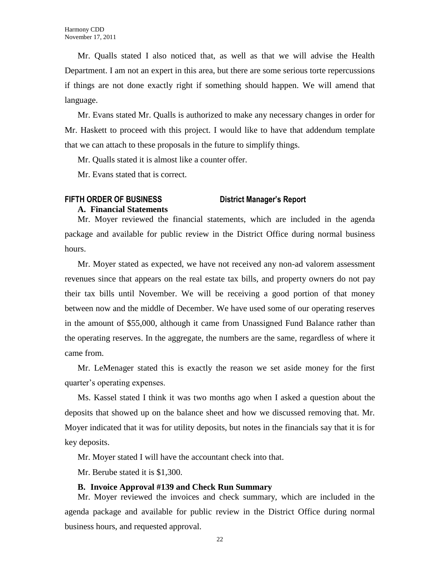Mr. Qualls stated I also noticed that, as well as that we will advise the Health Department. I am not an expert in this area, but there are some serious torte repercussions if things are not done exactly right if something should happen. We will amend that language.

Mr. Evans stated Mr. Qualls is authorized to make any necessary changes in order for Mr. Haskett to proceed with this project. I would like to have that addendum template that we can attach to these proposals in the future to simplify things.

Mr. Qualls stated it is almost like a counter offer.

Mr. Evans stated that is correct.

# **FIFTH ORDER OF BUSINESS District Manager's Report**

#### **A. Financial Statements**

Mr. Moyer reviewed the financial statements, which are included in the agenda package and available for public review in the District Office during normal business hours.

Mr. Moyer stated as expected, we have not received any non-ad valorem assessment revenues since that appears on the real estate tax bills, and property owners do not pay their tax bills until November. We will be receiving a good portion of that money between now and the middle of December. We have used some of our operating reserves in the amount of \$55,000, although it came from Unassigned Fund Balance rather than the operating reserves. In the aggregate, the numbers are the same, regardless of where it came from.

Mr. LeMenager stated this is exactly the reason we set aside money for the first quarter's operating expenses.

Ms. Kassel stated I think it was two months ago when I asked a question about the deposits that showed up on the balance sheet and how we discussed removing that. Mr. Moyer indicated that it was for utility deposits, but notes in the financials say that it is for key deposits.

Mr. Moyer stated I will have the accountant check into that.

Mr. Berube stated it is \$1,300.

### **B. Invoice Approval #139 and Check Run Summary**

Mr. Moyer reviewed the invoices and check summary, which are included in the agenda package and available for public review in the District Office during normal business hours, and requested approval.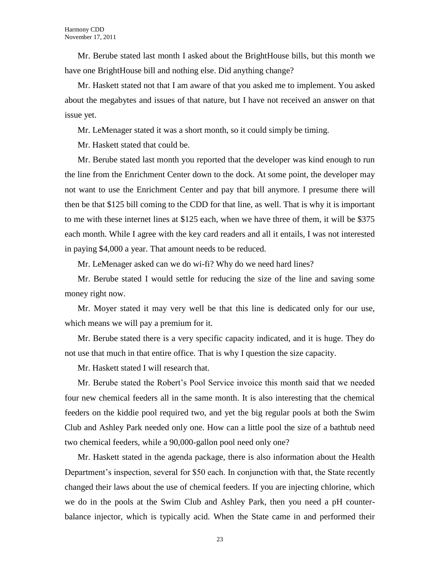Mr. Berube stated last month I asked about the BrightHouse bills, but this month we have one BrightHouse bill and nothing else. Did anything change?

Mr. Haskett stated not that I am aware of that you asked me to implement. You asked about the megabytes and issues of that nature, but I have not received an answer on that issue yet.

Mr. LeMenager stated it was a short month, so it could simply be timing.

Mr. Haskett stated that could be.

Mr. Berube stated last month you reported that the developer was kind enough to run the line from the Enrichment Center down to the dock. At some point, the developer may not want to use the Enrichment Center and pay that bill anymore. I presume there will then be that \$125 bill coming to the CDD for that line, as well. That is why it is important to me with these internet lines at \$125 each, when we have three of them, it will be \$375 each month. While I agree with the key card readers and all it entails, I was not interested in paying \$4,000 a year. That amount needs to be reduced.

Mr. LeMenager asked can we do wi-fi? Why do we need hard lines?

Mr. Berube stated I would settle for reducing the size of the line and saving some money right now.

Mr. Moyer stated it may very well be that this line is dedicated only for our use, which means we will pay a premium for it.

Mr. Berube stated there is a very specific capacity indicated, and it is huge. They do not use that much in that entire office. That is why I question the size capacity.

Mr. Haskett stated I will research that.

Mr. Berube stated the Robert's Pool Service invoice this month said that we needed four new chemical feeders all in the same month. It is also interesting that the chemical feeders on the kiddie pool required two, and yet the big regular pools at both the Swim Club and Ashley Park needed only one. How can a little pool the size of a bathtub need two chemical feeders, while a 90,000-gallon pool need only one?

Mr. Haskett stated in the agenda package, there is also information about the Health Department's inspection, several for \$50 each. In conjunction with that, the State recently changed their laws about the use of chemical feeders. If you are injecting chlorine, which we do in the pools at the Swim Club and Ashley Park, then you need a pH counterbalance injector, which is typically acid. When the State came in and performed their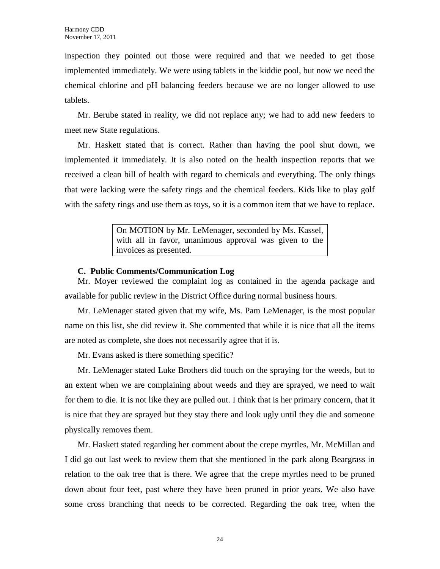inspection they pointed out those were required and that we needed to get those implemented immediately. We were using tablets in the kiddie pool, but now we need the chemical chlorine and pH balancing feeders because we are no longer allowed to use tablets.

Mr. Berube stated in reality, we did not replace any; we had to add new feeders to meet new State regulations.

Mr. Haskett stated that is correct. Rather than having the pool shut down, we implemented it immediately. It is also noted on the health inspection reports that we received a clean bill of health with regard to chemicals and everything. The only things that were lacking were the safety rings and the chemical feeders. Kids like to play golf with the safety rings and use them as toys, so it is a common item that we have to replace.

> On MOTION by Mr. LeMenager, seconded by Ms. Kassel, with all in favor, unanimous approval was given to the invoices as presented.

# **C. Public Comments/Communication Log**

Mr. Moyer reviewed the complaint log as contained in the agenda package and available for public review in the District Office during normal business hours.

Mr. LeMenager stated given that my wife, Ms. Pam LeMenager, is the most popular name on this list, she did review it. She commented that while it is nice that all the items are noted as complete, she does not necessarily agree that it is.

Mr. Evans asked is there something specific?

Mr. LeMenager stated Luke Brothers did touch on the spraying for the weeds, but to an extent when we are complaining about weeds and they are sprayed, we need to wait for them to die. It is not like they are pulled out. I think that is her primary concern, that it is nice that they are sprayed but they stay there and look ugly until they die and someone physically removes them.

Mr. Haskett stated regarding her comment about the crepe myrtles, Mr. McMillan and I did go out last week to review them that she mentioned in the park along Beargrass in relation to the oak tree that is there. We agree that the crepe myrtles need to be pruned down about four feet, past where they have been pruned in prior years. We also have some cross branching that needs to be corrected. Regarding the oak tree, when the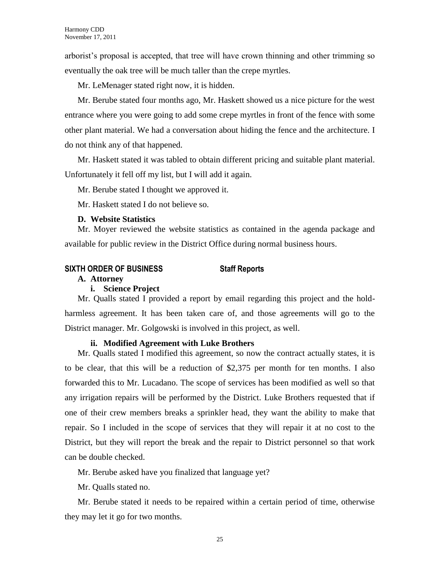arborist's proposal is accepted, that tree will have crown thinning and other trimming so eventually the oak tree will be much taller than the crepe myrtles.

Mr. LeMenager stated right now, it is hidden.

Mr. Berube stated four months ago, Mr. Haskett showed us a nice picture for the west entrance where you were going to add some crepe myrtles in front of the fence with some other plant material. We had a conversation about hiding the fence and the architecture. I do not think any of that happened.

Mr. Haskett stated it was tabled to obtain different pricing and suitable plant material. Unfortunately it fell off my list, but I will add it again.

Mr. Berube stated I thought we approved it.

Mr. Haskett stated I do not believe so.

# **D. Website Statistics**

Mr. Moyer reviewed the website statistics as contained in the agenda package and available for public review in the District Office during normal business hours.

# **SIXTH ORDER OF BUSINESS Staff Reports**

# **A. Attorney**

# **i. Science Project**

Mr. Qualls stated I provided a report by email regarding this project and the holdharmless agreement. It has been taken care of, and those agreements will go to the District manager. Mr. Golgowski is involved in this project, as well.

# **ii. Modified Agreement with Luke Brothers**

Mr. Qualls stated I modified this agreement, so now the contract actually states, it is to be clear, that this will be a reduction of \$2,375 per month for ten months. I also forwarded this to Mr. Lucadano. The scope of services has been modified as well so that any irrigation repairs will be performed by the District. Luke Brothers requested that if one of their crew members breaks a sprinkler head, they want the ability to make that repair. So I included in the scope of services that they will repair it at no cost to the District, but they will report the break and the repair to District personnel so that work can be double checked.

Mr. Berube asked have you finalized that language yet?

Mr. Qualls stated no.

Mr. Berube stated it needs to be repaired within a certain period of time, otherwise they may let it go for two months.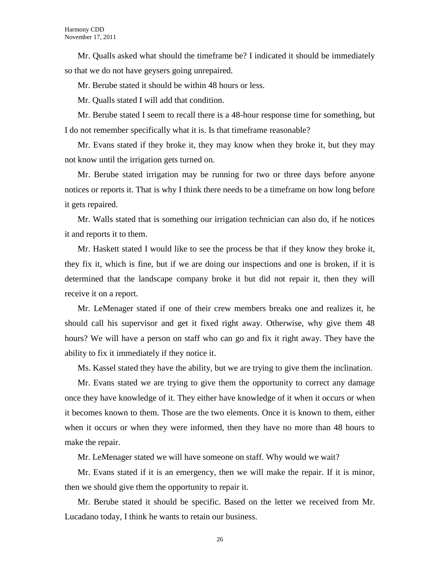Mr. Qualls asked what should the timeframe be? I indicated it should be immediately so that we do not have geysers going unrepaired.

Mr. Berube stated it should be within 48 hours or less.

Mr. Qualls stated I will add that condition.

Mr. Berube stated I seem to recall there is a 48-hour response time for something, but I do not remember specifically what it is. Is that timeframe reasonable?

Mr. Evans stated if they broke it, they may know when they broke it, but they may not know until the irrigation gets turned on.

Mr. Berube stated irrigation may be running for two or three days before anyone notices or reports it. That is why I think there needs to be a timeframe on how long before it gets repaired.

Mr. Walls stated that is something our irrigation technician can also do, if he notices it and reports it to them.

Mr. Haskett stated I would like to see the process be that if they know they broke it, they fix it, which is fine, but if we are doing our inspections and one is broken, if it is determined that the landscape company broke it but did not repair it, then they will receive it on a report.

Mr. LeMenager stated if one of their crew members breaks one and realizes it, he should call his supervisor and get it fixed right away. Otherwise, why give them 48 hours? We will have a person on staff who can go and fix it right away. They have the ability to fix it immediately if they notice it.

Ms. Kassel stated they have the ability, but we are trying to give them the inclination.

Mr. Evans stated we are trying to give them the opportunity to correct any damage once they have knowledge of it. They either have knowledge of it when it occurs or when it becomes known to them. Those are the two elements. Once it is known to them, either when it occurs or when they were informed, then they have no more than 48 hours to make the repair.

Mr. LeMenager stated we will have someone on staff. Why would we wait?

Mr. Evans stated if it is an emergency, then we will make the repair. If it is minor, then we should give them the opportunity to repair it.

Mr. Berube stated it should be specific. Based on the letter we received from Mr. Lucadano today, I think he wants to retain our business.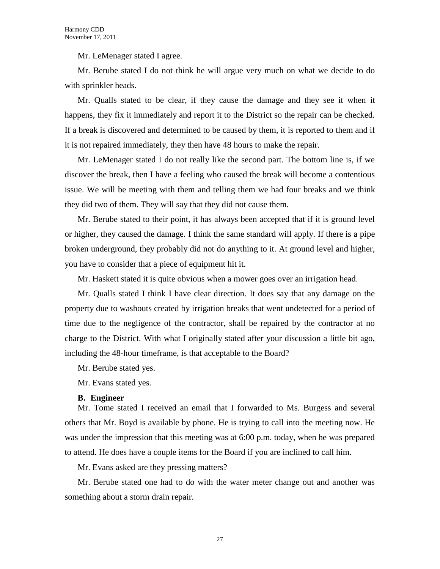Mr. LeMenager stated I agree.

Mr. Berube stated I do not think he will argue very much on what we decide to do with sprinkler heads.

Mr. Qualls stated to be clear, if they cause the damage and they see it when it happens, they fix it immediately and report it to the District so the repair can be checked. If a break is discovered and determined to be caused by them, it is reported to them and if it is not repaired immediately, they then have 48 hours to make the repair.

Mr. LeMenager stated I do not really like the second part. The bottom line is, if we discover the break, then I have a feeling who caused the break will become a contentious issue. We will be meeting with them and telling them we had four breaks and we think they did two of them. They will say that they did not cause them.

Mr. Berube stated to their point, it has always been accepted that if it is ground level or higher, they caused the damage. I think the same standard will apply. If there is a pipe broken underground, they probably did not do anything to it. At ground level and higher, you have to consider that a piece of equipment hit it.

Mr. Haskett stated it is quite obvious when a mower goes over an irrigation head.

Mr. Qualls stated I think I have clear direction. It does say that any damage on the property due to washouts created by irrigation breaks that went undetected for a period of time due to the negligence of the contractor, shall be repaired by the contractor at no charge to the District. With what I originally stated after your discussion a little bit ago, including the 48-hour timeframe, is that acceptable to the Board?

Mr. Berube stated yes.

Mr. Evans stated yes.

#### **B. Engineer**

Mr. Tome stated I received an email that I forwarded to Ms. Burgess and several others that Mr. Boyd is available by phone. He is trying to call into the meeting now. He was under the impression that this meeting was at 6:00 p.m. today, when he was prepared to attend. He does have a couple items for the Board if you are inclined to call him.

Mr. Evans asked are they pressing matters?

Mr. Berube stated one had to do with the water meter change out and another was something about a storm drain repair.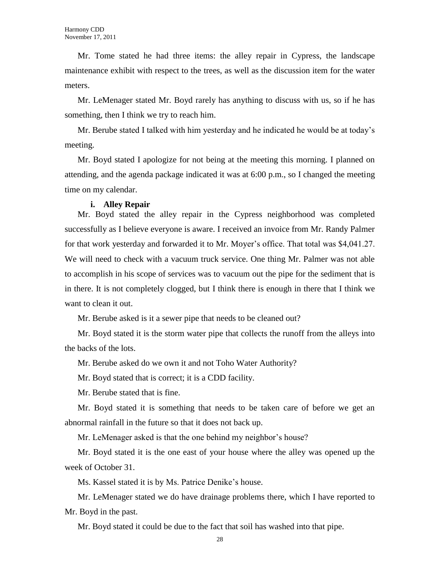Mr. Tome stated he had three items: the alley repair in Cypress, the landscape maintenance exhibit with respect to the trees, as well as the discussion item for the water meters.

Mr. LeMenager stated Mr. Boyd rarely has anything to discuss with us, so if he has something, then I think we try to reach him.

Mr. Berube stated I talked with him yesterday and he indicated he would be at today's meeting.

Mr. Boyd stated I apologize for not being at the meeting this morning. I planned on attending, and the agenda package indicated it was at 6:00 p.m., so I changed the meeting time on my calendar.

#### **i. Alley Repair**

Mr. Boyd stated the alley repair in the Cypress neighborhood was completed successfully as I believe everyone is aware. I received an invoice from Mr. Randy Palmer for that work yesterday and forwarded it to Mr. Moyer's office. That total was \$4,041.27. We will need to check with a vacuum truck service. One thing Mr. Palmer was not able to accomplish in his scope of services was to vacuum out the pipe for the sediment that is in there. It is not completely clogged, but I think there is enough in there that I think we want to clean it out.

Mr. Berube asked is it a sewer pipe that needs to be cleaned out?

Mr. Boyd stated it is the storm water pipe that collects the runoff from the alleys into the backs of the lots.

Mr. Berube asked do we own it and not Toho Water Authority?

Mr. Boyd stated that is correct; it is a CDD facility.

Mr. Berube stated that is fine.

Mr. Boyd stated it is something that needs to be taken care of before we get an abnormal rainfall in the future so that it does not back up.

Mr. LeMenager asked is that the one behind my neighbor's house?

Mr. Boyd stated it is the one east of your house where the alley was opened up the week of October 31.

Ms. Kassel stated it is by Ms. Patrice Denike's house.

Mr. LeMenager stated we do have drainage problems there, which I have reported to Mr. Boyd in the past.

Mr. Boyd stated it could be due to the fact that soil has washed into that pipe.

28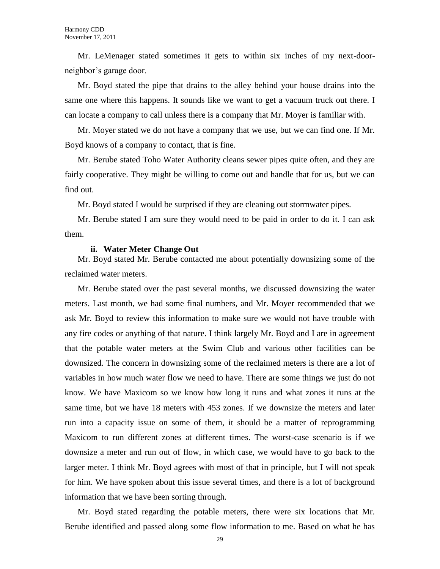Mr. LeMenager stated sometimes it gets to within six inches of my next-doorneighbor's garage door.

Mr. Boyd stated the pipe that drains to the alley behind your house drains into the same one where this happens. It sounds like we want to get a vacuum truck out there. I can locate a company to call unless there is a company that Mr. Moyer is familiar with.

Mr. Moyer stated we do not have a company that we use, but we can find one. If Mr. Boyd knows of a company to contact, that is fine.

Mr. Berube stated Toho Water Authority cleans sewer pipes quite often, and they are fairly cooperative. They might be willing to come out and handle that for us, but we can find out.

Mr. Boyd stated I would be surprised if they are cleaning out stormwater pipes.

Mr. Berube stated I am sure they would need to be paid in order to do it. I can ask them.

#### **ii. Water Meter Change Out**

Mr. Boyd stated Mr. Berube contacted me about potentially downsizing some of the reclaimed water meters.

Mr. Berube stated over the past several months, we discussed downsizing the water meters. Last month, we had some final numbers, and Mr. Moyer recommended that we ask Mr. Boyd to review this information to make sure we would not have trouble with any fire codes or anything of that nature. I think largely Mr. Boyd and I are in agreement that the potable water meters at the Swim Club and various other facilities can be downsized. The concern in downsizing some of the reclaimed meters is there are a lot of variables in how much water flow we need to have. There are some things we just do not know. We have Maxicom so we know how long it runs and what zones it runs at the same time, but we have 18 meters with 453 zones. If we downsize the meters and later run into a capacity issue on some of them, it should be a matter of reprogramming Maxicom to run different zones at different times. The worst-case scenario is if we downsize a meter and run out of flow, in which case, we would have to go back to the larger meter. I think Mr. Boyd agrees with most of that in principle, but I will not speak for him. We have spoken about this issue several times, and there is a lot of background information that we have been sorting through.

Mr. Boyd stated regarding the potable meters, there were six locations that Mr. Berube identified and passed along some flow information to me. Based on what he has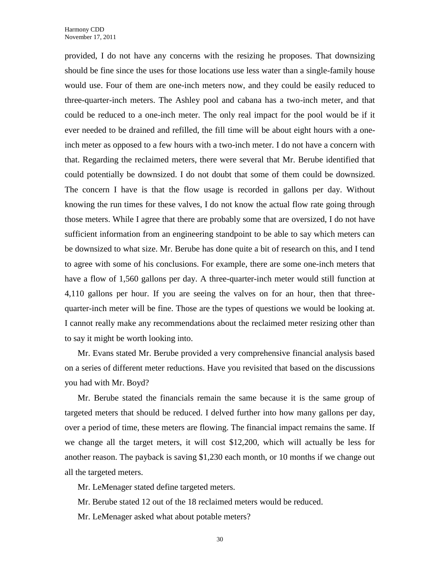provided, I do not have any concerns with the resizing he proposes. That downsizing should be fine since the uses for those locations use less water than a single-family house would use. Four of them are one-inch meters now, and they could be easily reduced to three-quarter-inch meters. The Ashley pool and cabana has a two-inch meter, and that could be reduced to a one-inch meter. The only real impact for the pool would be if it ever needed to be drained and refilled, the fill time will be about eight hours with a oneinch meter as opposed to a few hours with a two-inch meter. I do not have a concern with that. Regarding the reclaimed meters, there were several that Mr. Berube identified that could potentially be downsized. I do not doubt that some of them could be downsized. The concern I have is that the flow usage is recorded in gallons per day. Without knowing the run times for these valves, I do not know the actual flow rate going through those meters. While I agree that there are probably some that are oversized, I do not have sufficient information from an engineering standpoint to be able to say which meters can be downsized to what size. Mr. Berube has done quite a bit of research on this, and I tend to agree with some of his conclusions. For example, there are some one-inch meters that have a flow of 1,560 gallons per day. A three-quarter-inch meter would still function at 4,110 gallons per hour. If you are seeing the valves on for an hour, then that threequarter-inch meter will be fine. Those are the types of questions we would be looking at. I cannot really make any recommendations about the reclaimed meter resizing other than to say it might be worth looking into.

Mr. Evans stated Mr. Berube provided a very comprehensive financial analysis based on a series of different meter reductions. Have you revisited that based on the discussions you had with Mr. Boyd?

Mr. Berube stated the financials remain the same because it is the same group of targeted meters that should be reduced. I delved further into how many gallons per day, over a period of time, these meters are flowing. The financial impact remains the same. If we change all the target meters, it will cost \$12,200, which will actually be less for another reason. The payback is saving \$1,230 each month, or 10 months if we change out all the targeted meters.

Mr. LeMenager stated define targeted meters.

Mr. Berube stated 12 out of the 18 reclaimed meters would be reduced.

Mr. LeMenager asked what about potable meters?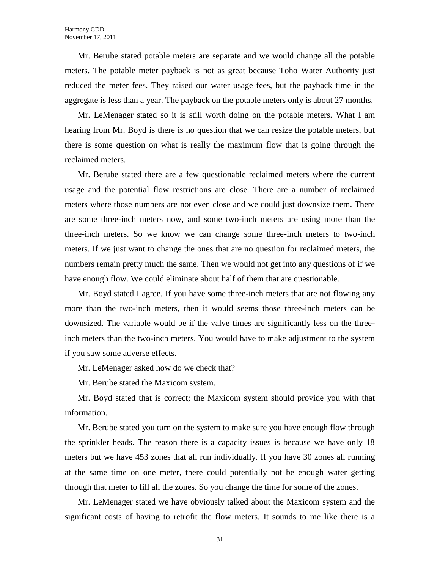Mr. Berube stated potable meters are separate and we would change all the potable meters. The potable meter payback is not as great because Toho Water Authority just reduced the meter fees. They raised our water usage fees, but the payback time in the aggregate is less than a year. The payback on the potable meters only is about 27 months.

Mr. LeMenager stated so it is still worth doing on the potable meters. What I am hearing from Mr. Boyd is there is no question that we can resize the potable meters, but there is some question on what is really the maximum flow that is going through the reclaimed meters.

Mr. Berube stated there are a few questionable reclaimed meters where the current usage and the potential flow restrictions are close. There are a number of reclaimed meters where those numbers are not even close and we could just downsize them. There are some three-inch meters now, and some two-inch meters are using more than the three-inch meters. So we know we can change some three-inch meters to two-inch meters. If we just want to change the ones that are no question for reclaimed meters, the numbers remain pretty much the same. Then we would not get into any questions of if we have enough flow. We could eliminate about half of them that are questionable.

Mr. Boyd stated I agree. If you have some three-inch meters that are not flowing any more than the two-inch meters, then it would seems those three-inch meters can be downsized. The variable would be if the valve times are significantly less on the threeinch meters than the two-inch meters. You would have to make adjustment to the system if you saw some adverse effects.

Mr. LeMenager asked how do we check that?

Mr. Berube stated the Maxicom system.

Mr. Boyd stated that is correct; the Maxicom system should provide you with that information.

Mr. Berube stated you turn on the system to make sure you have enough flow through the sprinkler heads. The reason there is a capacity issues is because we have only 18 meters but we have 453 zones that all run individually. If you have 30 zones all running at the same time on one meter, there could potentially not be enough water getting through that meter to fill all the zones. So you change the time for some of the zones.

Mr. LeMenager stated we have obviously talked about the Maxicom system and the significant costs of having to retrofit the flow meters. It sounds to me like there is a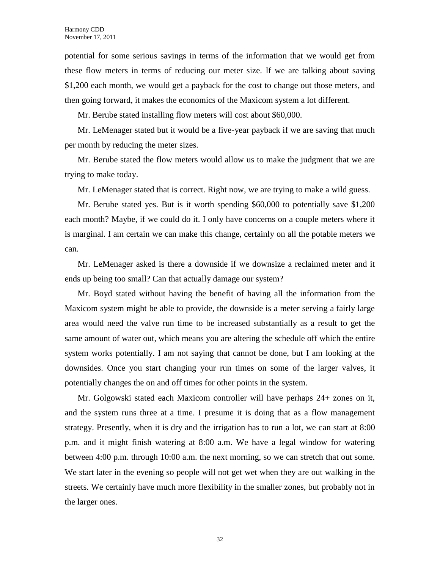potential for some serious savings in terms of the information that we would get from these flow meters in terms of reducing our meter size. If we are talking about saving \$1,200 each month, we would get a payback for the cost to change out those meters, and then going forward, it makes the economics of the Maxicom system a lot different.

Mr. Berube stated installing flow meters will cost about \$60,000.

Mr. LeMenager stated but it would be a five-year payback if we are saving that much per month by reducing the meter sizes.

Mr. Berube stated the flow meters would allow us to make the judgment that we are trying to make today.

Mr. LeMenager stated that is correct. Right now, we are trying to make a wild guess.

Mr. Berube stated yes. But is it worth spending \$60,000 to potentially save \$1,200 each month? Maybe, if we could do it. I only have concerns on a couple meters where it is marginal. I am certain we can make this change, certainly on all the potable meters we can.

Mr. LeMenager asked is there a downside if we downsize a reclaimed meter and it ends up being too small? Can that actually damage our system?

Mr. Boyd stated without having the benefit of having all the information from the Maxicom system might be able to provide, the downside is a meter serving a fairly large area would need the valve run time to be increased substantially as a result to get the same amount of water out, which means you are altering the schedule off which the entire system works potentially. I am not saying that cannot be done, but I am looking at the downsides. Once you start changing your run times on some of the larger valves, it potentially changes the on and off times for other points in the system.

Mr. Golgowski stated each Maxicom controller will have perhaps 24+ zones on it, and the system runs three at a time. I presume it is doing that as a flow management strategy. Presently, when it is dry and the irrigation has to run a lot, we can start at 8:00 p.m. and it might finish watering at 8:00 a.m. We have a legal window for watering between 4:00 p.m. through 10:00 a.m. the next morning, so we can stretch that out some. We start later in the evening so people will not get wet when they are out walking in the streets. We certainly have much more flexibility in the smaller zones, but probably not in the larger ones.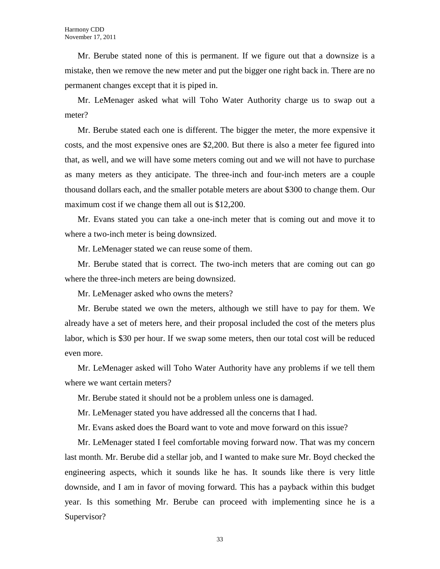Mr. Berube stated none of this is permanent. If we figure out that a downsize is a mistake, then we remove the new meter and put the bigger one right back in. There are no permanent changes except that it is piped in.

Mr. LeMenager asked what will Toho Water Authority charge us to swap out a meter?

Mr. Berube stated each one is different. The bigger the meter, the more expensive it costs, and the most expensive ones are \$2,200. But there is also a meter fee figured into that, as well, and we will have some meters coming out and we will not have to purchase as many meters as they anticipate. The three-inch and four-inch meters are a couple thousand dollars each, and the smaller potable meters are about \$300 to change them. Our maximum cost if we change them all out is \$12,200.

Mr. Evans stated you can take a one-inch meter that is coming out and move it to where a two-inch meter is being downsized.

Mr. LeMenager stated we can reuse some of them.

Mr. Berube stated that is correct. The two-inch meters that are coming out can go where the three-inch meters are being downsized.

Mr. LeMenager asked who owns the meters?

Mr. Berube stated we own the meters, although we still have to pay for them. We already have a set of meters here, and their proposal included the cost of the meters plus labor, which is \$30 per hour. If we swap some meters, then our total cost will be reduced even more.

Mr. LeMenager asked will Toho Water Authority have any problems if we tell them where we want certain meters?

Mr. Berube stated it should not be a problem unless one is damaged.

Mr. LeMenager stated you have addressed all the concerns that I had.

Mr. Evans asked does the Board want to vote and move forward on this issue?

Mr. LeMenager stated I feel comfortable moving forward now. That was my concern last month. Mr. Berube did a stellar job, and I wanted to make sure Mr. Boyd checked the engineering aspects, which it sounds like he has. It sounds like there is very little downside, and I am in favor of moving forward. This has a payback within this budget year. Is this something Mr. Berube can proceed with implementing since he is a Supervisor?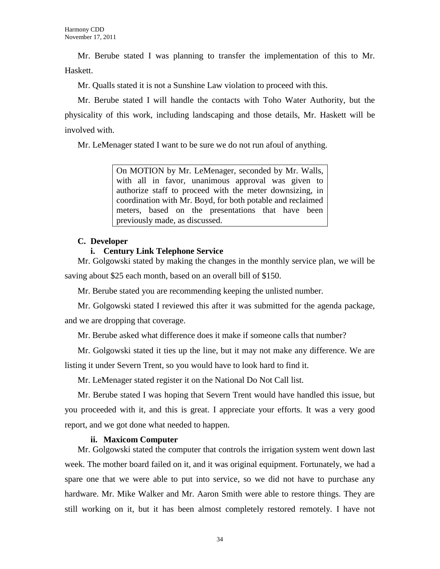Mr. Berube stated I was planning to transfer the implementation of this to Mr. Haskett.

Mr. Qualls stated it is not a Sunshine Law violation to proceed with this.

Mr. Berube stated I will handle the contacts with Toho Water Authority, but the physicality of this work, including landscaping and those details, Mr. Haskett will be involved with.

Mr. LeMenager stated I want to be sure we do not run afoul of anything.

On MOTION by Mr. LeMenager, seconded by Mr. Walls, with all in favor, unanimous approval was given to authorize staff to proceed with the meter downsizing, in coordination with Mr. Boyd, for both potable and reclaimed meters, based on the presentations that have been previously made, as discussed.

# **C. Developer**

# **i. Century Link Telephone Service**

Mr. Golgowski stated by making the changes in the monthly service plan, we will be saving about \$25 each month, based on an overall bill of \$150.

Mr. Berube stated you are recommending keeping the unlisted number.

Mr. Golgowski stated I reviewed this after it was submitted for the agenda package, and we are dropping that coverage.

Mr. Berube asked what difference does it make if someone calls that number?

Mr. Golgowski stated it ties up the line, but it may not make any difference. We are listing it under Severn Trent, so you would have to look hard to find it.

Mr. LeMenager stated register it on the National Do Not Call list.

Mr. Berube stated I was hoping that Severn Trent would have handled this issue, but you proceeded with it, and this is great. I appreciate your efforts. It was a very good report, and we got done what needed to happen.

# **ii. Maxicom Computer**

Mr. Golgowski stated the computer that controls the irrigation system went down last week. The mother board failed on it, and it was original equipment. Fortunately, we had a spare one that we were able to put into service, so we did not have to purchase any hardware. Mr. Mike Walker and Mr. Aaron Smith were able to restore things. They are still working on it, but it has been almost completely restored remotely. I have not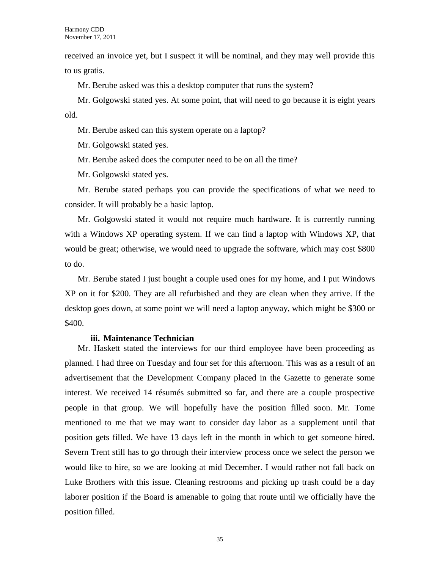received an invoice yet, but I suspect it will be nominal, and they may well provide this to us gratis.

Mr. Berube asked was this a desktop computer that runs the system?

Mr. Golgowski stated yes. At some point, that will need to go because it is eight years old.

Mr. Berube asked can this system operate on a laptop?

Mr. Golgowski stated yes.

Mr. Berube asked does the computer need to be on all the time?

Mr. Golgowski stated yes.

Mr. Berube stated perhaps you can provide the specifications of what we need to consider. It will probably be a basic laptop.

Mr. Golgowski stated it would not require much hardware. It is currently running with a Windows XP operating system. If we can find a laptop with Windows XP, that would be great; otherwise, we would need to upgrade the software, which may cost \$800 to do.

Mr. Berube stated I just bought a couple used ones for my home, and I put Windows XP on it for \$200. They are all refurbished and they are clean when they arrive. If the desktop goes down, at some point we will need a laptop anyway, which might be \$300 or \$400.

### **iii. Maintenance Technician**

Mr. Haskett stated the interviews for our third employee have been proceeding as planned. I had three on Tuesday and four set for this afternoon. This was as a result of an advertisement that the Development Company placed in the Gazette to generate some interest. We received 14 résumés submitted so far, and there are a couple prospective people in that group. We will hopefully have the position filled soon. Mr. Tome mentioned to me that we may want to consider day labor as a supplement until that position gets filled. We have 13 days left in the month in which to get someone hired. Severn Trent still has to go through their interview process once we select the person we would like to hire, so we are looking at mid December. I would rather not fall back on Luke Brothers with this issue. Cleaning restrooms and picking up trash could be a day laborer position if the Board is amenable to going that route until we officially have the position filled.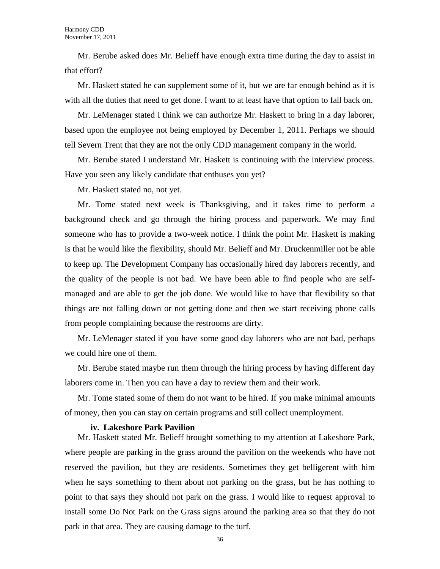Mr. Berube asked does Mr. Belieff have enough extra time during the day to assist in that effort?

Mr. Haskett stated he can supplement some of it, but we are far enough behind as it is with all the duties that need to get done. I want to at least have that option to fall back on.

Mr. LeMenager stated I think we can authorize Mr. Haskett to bring in a day laborer, based upon the employee not being employed by December 1, 2011. Perhaps we should tell Severn Trent that they are not the only CDD management company in the world.

Mr. Berube stated I understand Mr. Haskett is continuing with the interview process. Have you seen any likely candidate that enthuses you yet?

Mr. Haskett stated no, not yet.

Mr. Tome stated next week is Thanksgiving, and it takes time to perform a background check and go through the hiring process and paperwork. We may find someone who has to provide a two-week notice. I think the point Mr. Haskett is making is that he would like the flexibility, should Mr. Belieff and Mr. Druckenmiller not be able to keep up. The Development Company has occasionally hired day laborers recently, and the quality of the people is not bad. We have been able to find people who are selfmanaged and are able to get the job done. We would like to have that flexibility so that things are not falling down or not getting done and then we start receiving phone calls from people complaining because the restrooms are dirty.

Mr. LeMenager stated if you have some good day laborers who are not bad, perhaps we could hire one of them.

Mr. Berube stated maybe run them through the hiring process by having different day laborers come in. Then you can have a day to review them and their work.

Mr. Tome stated some of them do not want to be hired. If you make minimal amounts of money, then you can stay on certain programs and still collect unemployment.

#### **iv. Lakeshore Park Pavilion**

Mr. Haskett stated Mr. Belieff brought something to my attention at Lakeshore Park, where people are parking in the grass around the pavilion on the weekends who have not reserved the pavilion, but they are residents. Sometimes they get belligerent with him when he says something to them about not parking on the grass, but he has nothing to point to that says they should not park on the grass. I would like to request approval to install some Do Not Park on the Grass signs around the parking area so that they do not park in that area. They are causing damage to the turf.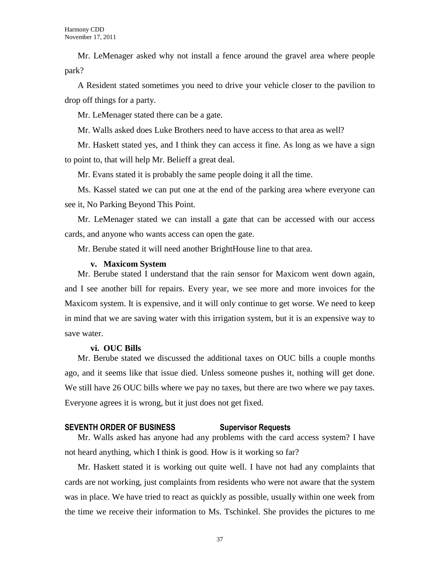Mr. LeMenager asked why not install a fence around the gravel area where people park?

A Resident stated sometimes you need to drive your vehicle closer to the pavilion to drop off things for a party.

Mr. LeMenager stated there can be a gate.

Mr. Walls asked does Luke Brothers need to have access to that area as well?

Mr. Haskett stated yes, and I think they can access it fine. As long as we have a sign to point to, that will help Mr. Belieff a great deal.

Mr. Evans stated it is probably the same people doing it all the time.

Ms. Kassel stated we can put one at the end of the parking area where everyone can see it, No Parking Beyond This Point.

Mr. LeMenager stated we can install a gate that can be accessed with our access cards, and anyone who wants access can open the gate.

Mr. Berube stated it will need another BrightHouse line to that area.

### **v. Maxicom System**

Mr. Berube stated I understand that the rain sensor for Maxicom went down again, and I see another bill for repairs. Every year, we see more and more invoices for the Maxicom system. It is expensive, and it will only continue to get worse. We need to keep in mind that we are saving water with this irrigation system, but it is an expensive way to save water.

### **vi. OUC Bills**

Mr. Berube stated we discussed the additional taxes on OUC bills a couple months ago, and it seems like that issue died. Unless someone pushes it, nothing will get done. We still have 26 OUC bills where we pay no taxes, but there are two where we pay taxes. Everyone agrees it is wrong, but it just does not get fixed.

### **SEVENTH ORDER OF BUSINESS Supervisor Requests**

Mr. Walls asked has anyone had any problems with the card access system? I have not heard anything, which I think is good. How is it working so far?

Mr. Haskett stated it is working out quite well. I have not had any complaints that cards are not working, just complaints from residents who were not aware that the system was in place. We have tried to react as quickly as possible, usually within one week from the time we receive their information to Ms. Tschinkel. She provides the pictures to me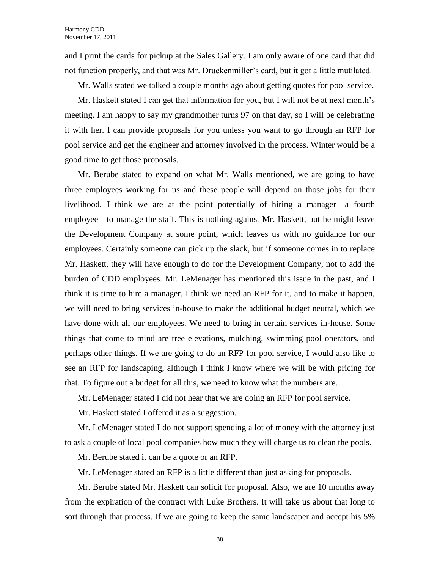and I print the cards for pickup at the Sales Gallery. I am only aware of one card that did not function properly, and that was Mr. Druckenmiller's card, but it got a little mutilated.

Mr. Walls stated we talked a couple months ago about getting quotes for pool service.

Mr. Haskett stated I can get that information for you, but I will not be at next month's meeting. I am happy to say my grandmother turns 97 on that day, so I will be celebrating it with her. I can provide proposals for you unless you want to go through an RFP for pool service and get the engineer and attorney involved in the process. Winter would be a good time to get those proposals.

Mr. Berube stated to expand on what Mr. Walls mentioned, we are going to have three employees working for us and these people will depend on those jobs for their livelihood. I think we are at the point potentially of hiring a manager—a fourth employee—to manage the staff. This is nothing against Mr. Haskett, but he might leave the Development Company at some point, which leaves us with no guidance for our employees. Certainly someone can pick up the slack, but if someone comes in to replace Mr. Haskett, they will have enough to do for the Development Company, not to add the burden of CDD employees. Mr. LeMenager has mentioned this issue in the past, and I think it is time to hire a manager. I think we need an RFP for it, and to make it happen, we will need to bring services in-house to make the additional budget neutral, which we have done with all our employees. We need to bring in certain services in-house. Some things that come to mind are tree elevations, mulching, swimming pool operators, and perhaps other things. If we are going to do an RFP for pool service, I would also like to see an RFP for landscaping, although I think I know where we will be with pricing for that. To figure out a budget for all this, we need to know what the numbers are.

Mr. LeMenager stated I did not hear that we are doing an RFP for pool service.

Mr. Haskett stated I offered it as a suggestion.

Mr. LeMenager stated I do not support spending a lot of money with the attorney just to ask a couple of local pool companies how much they will charge us to clean the pools.

Mr. Berube stated it can be a quote or an RFP.

Mr. LeMenager stated an RFP is a little different than just asking for proposals.

Mr. Berube stated Mr. Haskett can solicit for proposal. Also, we are 10 months away from the expiration of the contract with Luke Brothers. It will take us about that long to sort through that process. If we are going to keep the same landscaper and accept his 5%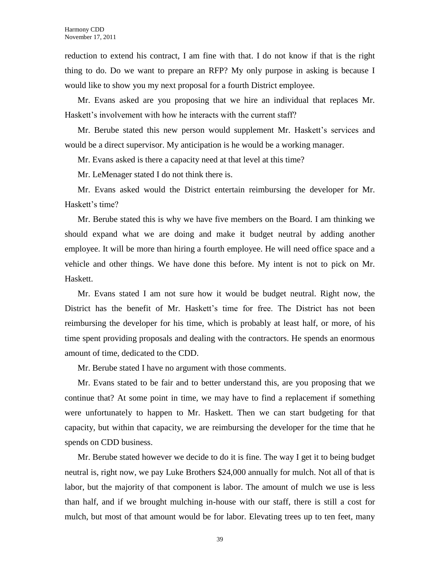reduction to extend his contract, I am fine with that. I do not know if that is the right thing to do. Do we want to prepare an RFP? My only purpose in asking is because I would like to show you my next proposal for a fourth District employee.

Mr. Evans asked are you proposing that we hire an individual that replaces Mr. Haskett's involvement with how he interacts with the current staff?

Mr. Berube stated this new person would supplement Mr. Haskett's services and would be a direct supervisor. My anticipation is he would be a working manager.

Mr. Evans asked is there a capacity need at that level at this time?

Mr. LeMenager stated I do not think there is.

Mr. Evans asked would the District entertain reimbursing the developer for Mr. Haskett's time?

Mr. Berube stated this is why we have five members on the Board. I am thinking we should expand what we are doing and make it budget neutral by adding another employee. It will be more than hiring a fourth employee. He will need office space and a vehicle and other things. We have done this before. My intent is not to pick on Mr. Haskett.

Mr. Evans stated I am not sure how it would be budget neutral. Right now, the District has the benefit of Mr. Haskett's time for free. The District has not been reimbursing the developer for his time, which is probably at least half, or more, of his time spent providing proposals and dealing with the contractors. He spends an enormous amount of time, dedicated to the CDD.

Mr. Berube stated I have no argument with those comments.

Mr. Evans stated to be fair and to better understand this, are you proposing that we continue that? At some point in time, we may have to find a replacement if something were unfortunately to happen to Mr. Haskett. Then we can start budgeting for that capacity, but within that capacity, we are reimbursing the developer for the time that he spends on CDD business.

Mr. Berube stated however we decide to do it is fine. The way I get it to being budget neutral is, right now, we pay Luke Brothers \$24,000 annually for mulch. Not all of that is labor, but the majority of that component is labor. The amount of mulch we use is less than half, and if we brought mulching in-house with our staff, there is still a cost for mulch, but most of that amount would be for labor. Elevating trees up to ten feet, many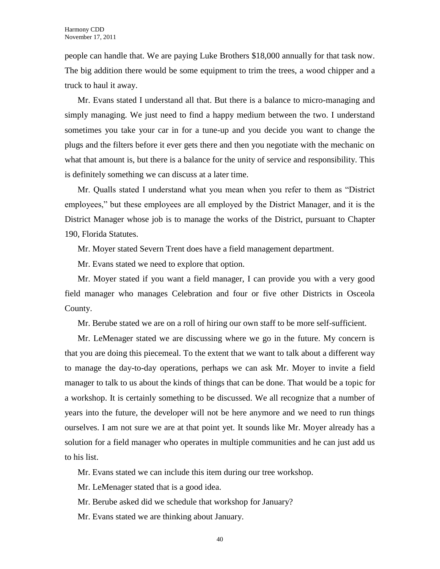people can handle that. We are paying Luke Brothers \$18,000 annually for that task now. The big addition there would be some equipment to trim the trees, a wood chipper and a truck to haul it away.

Mr. Evans stated I understand all that. But there is a balance to micro-managing and simply managing. We just need to find a happy medium between the two. I understand sometimes you take your car in for a tune-up and you decide you want to change the plugs and the filters before it ever gets there and then you negotiate with the mechanic on what that amount is, but there is a balance for the unity of service and responsibility. This is definitely something we can discuss at a later time.

Mr. Qualls stated I understand what you mean when you refer to them as "District employees," but these employees are all employed by the District Manager, and it is the District Manager whose job is to manage the works of the District, pursuant to Chapter 190, Florida Statutes.

Mr. Moyer stated Severn Trent does have a field management department.

Mr. Evans stated we need to explore that option.

Mr. Moyer stated if you want a field manager, I can provide you with a very good field manager who manages Celebration and four or five other Districts in Osceola County.

Mr. Berube stated we are on a roll of hiring our own staff to be more self-sufficient.

Mr. LeMenager stated we are discussing where we go in the future. My concern is that you are doing this piecemeal. To the extent that we want to talk about a different way to manage the day-to-day operations, perhaps we can ask Mr. Moyer to invite a field manager to talk to us about the kinds of things that can be done. That would be a topic for a workshop. It is certainly something to be discussed. We all recognize that a number of years into the future, the developer will not be here anymore and we need to run things ourselves. I am not sure we are at that point yet. It sounds like Mr. Moyer already has a solution for a field manager who operates in multiple communities and he can just add us to his list.

Mr. Evans stated we can include this item during our tree workshop.

Mr. LeMenager stated that is a good idea.

Mr. Berube asked did we schedule that workshop for January?

Mr. Evans stated we are thinking about January.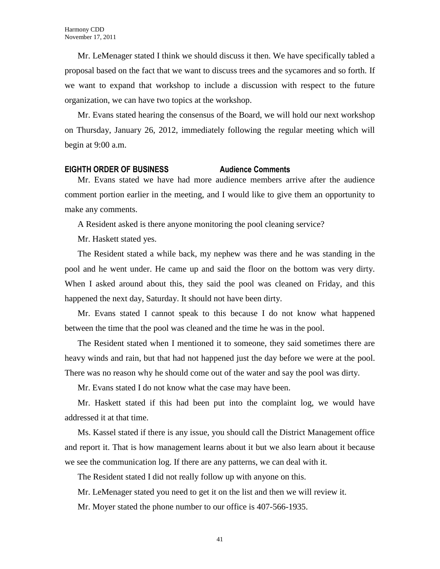Mr. LeMenager stated I think we should discuss it then. We have specifically tabled a proposal based on the fact that we want to discuss trees and the sycamores and so forth. If we want to expand that workshop to include a discussion with respect to the future organization, we can have two topics at the workshop.

Mr. Evans stated hearing the consensus of the Board, we will hold our next workshop on Thursday, January 26, 2012, immediately following the regular meeting which will begin at 9:00 a.m.

#### **EIGHTH ORDER OF BUSINESS Audience Comments**

Mr. Evans stated we have had more audience members arrive after the audience comment portion earlier in the meeting, and I would like to give them an opportunity to make any comments.

A Resident asked is there anyone monitoring the pool cleaning service?

Mr. Haskett stated yes.

The Resident stated a while back, my nephew was there and he was standing in the pool and he went under. He came up and said the floor on the bottom was very dirty. When I asked around about this, they said the pool was cleaned on Friday, and this happened the next day, Saturday. It should not have been dirty.

Mr. Evans stated I cannot speak to this because I do not know what happened between the time that the pool was cleaned and the time he was in the pool.

The Resident stated when I mentioned it to someone, they said sometimes there are heavy winds and rain, but that had not happened just the day before we were at the pool. There was no reason why he should come out of the water and say the pool was dirty.

Mr. Evans stated I do not know what the case may have been.

Mr. Haskett stated if this had been put into the complaint log, we would have addressed it at that time.

Ms. Kassel stated if there is any issue, you should call the District Management office and report it. That is how management learns about it but we also learn about it because we see the communication log. If there are any patterns, we can deal with it.

The Resident stated I did not really follow up with anyone on this.

Mr. LeMenager stated you need to get it on the list and then we will review it.

Mr. Moyer stated the phone number to our office is 407-566-1935.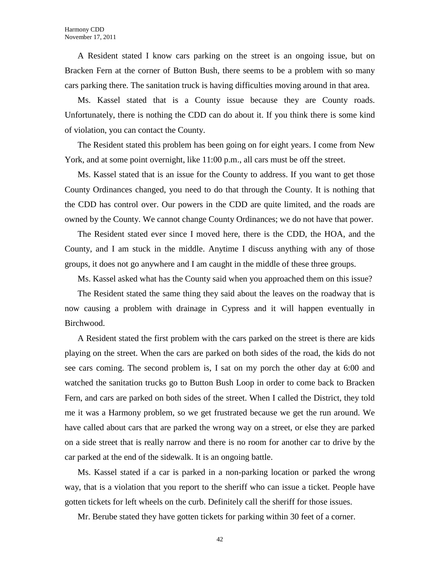A Resident stated I know cars parking on the street is an ongoing issue, but on Bracken Fern at the corner of Button Bush, there seems to be a problem with so many cars parking there. The sanitation truck is having difficulties moving around in that area.

Ms. Kassel stated that is a County issue because they are County roads. Unfortunately, there is nothing the CDD can do about it. If you think there is some kind of violation, you can contact the County.

The Resident stated this problem has been going on for eight years. I come from New York, and at some point overnight, like 11:00 p.m., all cars must be off the street.

Ms. Kassel stated that is an issue for the County to address. If you want to get those County Ordinances changed, you need to do that through the County. It is nothing that the CDD has control over. Our powers in the CDD are quite limited, and the roads are owned by the County. We cannot change County Ordinances; we do not have that power.

The Resident stated ever since I moved here, there is the CDD, the HOA, and the County, and I am stuck in the middle. Anytime I discuss anything with any of those groups, it does not go anywhere and I am caught in the middle of these three groups.

Ms. Kassel asked what has the County said when you approached them on this issue?

The Resident stated the same thing they said about the leaves on the roadway that is now causing a problem with drainage in Cypress and it will happen eventually in Birchwood.

A Resident stated the first problem with the cars parked on the street is there are kids playing on the street. When the cars are parked on both sides of the road, the kids do not see cars coming. The second problem is, I sat on my porch the other day at 6:00 and watched the sanitation trucks go to Button Bush Loop in order to come back to Bracken Fern, and cars are parked on both sides of the street. When I called the District, they told me it was a Harmony problem, so we get frustrated because we get the run around. We have called about cars that are parked the wrong way on a street, or else they are parked on a side street that is really narrow and there is no room for another car to drive by the car parked at the end of the sidewalk. It is an ongoing battle.

Ms. Kassel stated if a car is parked in a non-parking location or parked the wrong way, that is a violation that you report to the sheriff who can issue a ticket. People have gotten tickets for left wheels on the curb. Definitely call the sheriff for those issues.

Mr. Berube stated they have gotten tickets for parking within 30 feet of a corner.